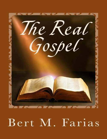

# Bert M. Farias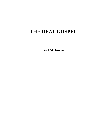# **THE REAL GOSPEL**

**Bert M. Farias**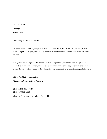*The Real Gospel* Copyright © 2012 Bert M. Farias

Cover design by Daniel J. Clausen

Unless otherwise identified, Scripture quotations are from the HOLY BIBLE, NEW KING JAMES VERSION (NKJV). Copyright © 1982 by Thomas Nelson Publishers. Used by permission. All rights reserved.

All rights reserved. No part of this publication may be reproduced, stored in a retrieval system, or transmitted in any form or by any means – electronic, mechanical, photocopy, recording, or otherwise – without the prior written consent of the author. The only exception is brief quotations in printed reviews.

A Holy Fire Ministry Publication. Printed in the United States of America.

ISBN-13: 978-0615649597 ISBN-10: 0615649599

Library of Congress data is available for this title.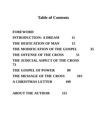# **Table of Contents**

| <b>FOREWORD</b>                        |     |     |    |
|----------------------------------------|-----|-----|----|
| <b>INTRODUCTION: A DREAM</b>           | 11  |     |    |
| <b>THE DEIFICATION OF MAN</b>          | 15  |     |    |
| THE MODIFICATION OF THE GOSPEL         |     |     | 35 |
| THE OFFENSE OF THE CROSS               |     | 51  |    |
| THE JUDICIAL ASPECT OF THE CROSS<br>73 |     |     |    |
| THE GOSPEL OF POWER                    | 89  |     |    |
| THE MESSAGE OF THE CROSS               |     | 103 |    |
| <b>A CHRISTMAS LETTER</b>              | 109 |     |    |
|                                        |     |     |    |

**ABOUT THE AUTHOR 115**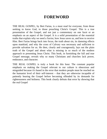### **FOREWORD**

THE REAL GOSPEL, by Bert Farias, is a must read for everyone, from those seeking to know God, to those preaching Christ's Gospel. This is a true presentation of the Gospel, and not just a commentary on one facet or an emphasis on an aspect of the Gospel. It is a solid presentation of the essential truths that explain why we need a Savior, how Jesus saves us, and how to receive Him. Bert Farias brings back into focus, the truth about sin, its damning effects upon mankind, and why the cross of Calvary was necessary and sufficient to provide salvation for us. He then, clearly and courageously, lays out the plain truth of the Gospel and about what is missing in so much of the modern approach to presenting Jesus Christ. This book, in furnishing the full and true Gospel message, reveals why so many Christians and churches lack power, endurance, and character.

THE REAL GOSPEL is truly a book for this hour. The constant popular emphasis on making the Gospel relevant to our culture is obnoxious and misguided because it's based in the error that modern people must be reached on the humanist level of their self-interest – that they are otherwise incapable of patiently hearing the Gospel before becoming offended by its demands for righteousness and holiness. This book clearly defeats that error by showing that the real Gospel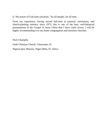is "the power of God unto salvation," for all people, for all time.

From my experience, having served full-time in pastoral, missionary, and church-planting ministry since 1975, this is one of the best, well-balanced presentations of the Gospel of Jesus Christ that I have come across. I will be highly recommending it to my home congregation and missions churches.

Nick Champlin

Faith Christian Church, Clearwater, FL

Nigeria-Ijaw Mission, Niger Delta, W. Africa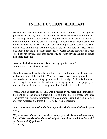# **INTRODUCTION: A DREAM**

Recently the Lord reminded me of a dream I had a number of years ago. He quickened me to pray concerning the importance of the dream. In the dream I was walking with a pastor on church property where many were gathered in a picnic-like fellowship. As we were walking I noticed a small cookhouse where the pastor took me in. All kinds of food was being prepared, several dishes of which I was familiar with from my years on the mission field in Africa. As my eyes looked upward I saw shelf after shelf of warm cooked food that had been stored, but not served. I asked the pastor why he wasn't serving that food because the people needed it.

I was shocked when he replied, *"This is strange food to them." "But it's being wasted here,"* I said.

Then the pastor and I walked back out onto the church property as he continued to show me more of the facilities. When we crossed over a small garden bridge I saw weeds and tares sprouting up from under the bridge. As I looked around I was seeing these same weeds and tares growing up all over the property, so much so that our feet became entangled making it difficult to walk.

When I woke up from this dream I was distressed in my heart, and I inquired of the Lord as to the dream's meaning. He told me that the weeds and tares represented festering sin, complacency, and compromise resulting from a neglect of certain messages and truths that His body was not receiving.

*"For I have not shunned to declare to you the whole counsel of God" (Acts 20:27).*

*"If you instruct the brethren in these things, you will be a good minister of Jesus Christ, nourished in the words of faith and of the good doctrine which you have carefully followed" (1 Tim 4:6).*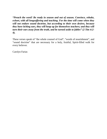*"Preach the word! Be ready in season and out of season. Convince, rebuke, exhort, with all longsuffering and teaching. For the time will come when they will not endure sound doctrine, but according to their own desires, because they have itching ears, they will heap up for themselves teachers; and they will turn their ears away from the truth, and be turned aside to fables" (2 Tim 4:2- 4).*

These verses speak of "the whole counsel of God", "words of nourishment", and "sound doctrine" that are necessary for a holy, fruitful, Spirit-filled walk for every believer.

Carolyn Farias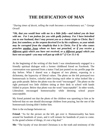# **THE DEIFICATION OF MAN**

*"During times of deceit, telling the truth becomes a revolutionary act." George Orwell*

*"Oh, that you would bear with me in a little folly—and indeed you do bear with me. For I am jealous for you with godly jealousy. For I have betrothed you to one husband, that I may present you as a chaste virgin to Christ. But I fear, lest somehow, as the serpent deceived Eve by his craftiness, so your minds may be corrupted from the simplicity that is in Christ. For if he who comes preaches another Jesus whom we have not preached, or if you receive a different spirit which you have not received, or a different gospel which you have not accepted—you may well put up with it!" (2 Cor 11:1-4)*

At the beginning of the writing of this book I was simultaneously engaged in a friendly spiritual dialogue with a former childhood friend on Facebook. The conversation was spawned from a status I had just posted on my profile page the day before. What I shared was a diagram of two photos, exposing in a dichotomy, the hypocrisy of liberal values. The photo on the left portrayed two homosexuals in festive, colorful attire kissing each other in what looked like a gay pride parade. Below the photo was the word "encouraged". The photo on the right portrayed two little children sitting at their desk in school with hands folded in prayer. Below that photo was the word "unacceptable". In other words, Liberalism encouraged homosexuality while deeming school prayer unacceptable.

My friend pointed out that the photo of the children was upsetting to him as he believed that no one should discourage children from praying, but the one of the homosexuals kissing didn't bother him.

Here is the exchange between us:

Friend: "As for the picture on the left, get over it. Homosexuality has been around for hundreds of years, and it will remain for hundreds of years to come. In the grand scheme of things, it's not a big deal."

**Me**: "The loyalty of true devoted Christians is to the truth and testimony of the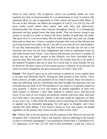Word of God, David. The Scriptures, which you probably doubt are Godinspired, are clear on homosexuality. It is an abomination to God ( Leviticus 18), unnatural (Rom 1), and in opposition to God's nature and sacred order (Rom 1). No one in this lifestyle can inherit the kingdom of God (1 Cor 6:9-11), but will incur God's wrath unless they repent and seek help and deliverance. Homosexuality has always been rejected throughout history. It is biologically abnormal and gay people know that deep inside. They are forever trying to get society to accept it in order to remove the heavy burden of guilt they are under. The good news is God loves them, did not make them this way, and can change them and set them free. I know a number of people who were in that lifestyle but are living normal lives today. David, I say this to you with all love and kindness: To say that homosexuality is no big deal reveals to me that you are not a true Christian and have not yet been enlightened and come to repentance from sin and faith toward Jesus Christ. I also discern that because you know a number of whom you say are "good" people in this lifestyle, you have concluded that it must be okay. But once more, this too is error. Our loyalty must be to the truth of the inspired Scriptures, and not to men, be it loved ones or close friends. Do not be deceived. He that is born of God cannot practice a lifestyle of sin because his nature has been changed by the grace and power of God (1 John 3:9)."

**Friend:** "The church I grew up in, and continue to attend on a very regular basis is an open and affirming church. During my faith journey in this church, I have been a deacon, an elder, and president of our church council. Since our church is open and affirming, and my Christianity has been brought into question, one can conclude that the faith of all 763 members of our church is in question based on your position. I choose to love and respect all people regardless of their own faith, culture, or lifestyle. I have been married to women twice, and divorced twice. If two men or two women are perfectly content with each other, and truly love each other, I am perfectly content in that and would be supportive of them in any way I can. I often think the manual used in justifying our individual faith or agenda can be extremely damaging. We will agree to disagree, and I have enjoyed this little debate. I will forever choose to love and respect all people regardless of the journey they choose to take while on this earth."

**Me**: "David, that is not my position, but the position of the Word of God and the Scriptures that I referenced. That is the manual! And not adhering to the manual is what is extremely damaging!!! Can anything be clearer than 1 Corinthians 6:9- 11? Ephesians 5:5-6? Rev 21:7-8? And if time permitted I could list a host of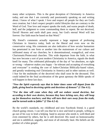many other scriptures. This is the great deception of Christianity in America today, and one that I am currently and passionately speaking on and writing about. I know of what I speak. I love and respect all people for they are God's own creation, but I don't respect people's sinful lifestyles that are contrary to the Word of God. True love and respect speaks the truth, and warns people of death, hell, and the judgment to come commanding them to repent. Be not deceived, David! Heaven and earth shall pass away, but God's eternal Word will last forever. Our faith must be based on that Word."

My friend's comments actually represent a large segment of professing Christians in America today, both on the liberal and even now on the conservative wing. His comments are also indicative of how secular humanism has penetrated in one form or another into the mainstream of our culture and infiltrated many of our churches; be it denominational, evangelical, and even Charismatic/Pentecostal churches. This wide departure from the faith, in what has now become a sort of post modern Christianity in America, signals the death knell for many. The celebrated philosophy of the day of "no absolutes, no right or wrong – whatever makes you happy – be tolerant and accepting of everything and everyone" is eroding the core of Judeo-Christian Biblically-based values, and greatly weakening real Christianity in America and in other nations as well. I fear for the multitudes of the deceived who shall soon be the deceased. This could indeed be the final acceleration of the great apostasy the Bible speaks of will happen in these last days.

#### *"Now the Spirit expressly says that in latter times some will depart from the faith, giving heed to deceiving spirits and doctrines of demons" (1 Tim 4:1).*

*"For the time will come when they will not endure sound doctrine, but according to their own desires, because they have itching ears, they will heap up for themselves teachers; and they will turn their ears away from the truth, and be turned aside to fables" (2 Tim 4:2-4).*

By the world's standards, my childhood and now Facebook friend, is a good church going citizen. I can tell you that he is nice and kind to people, willing to go out of his way to lend a helping hand to anyone who needs it, well-liked and even esteemed by others, but he is still deceived. His stand on homosexuality and sin is unbiblical, ungodly, and most of all eternally fatal. His beliefs are the product of a false gospel.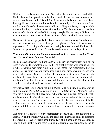Think of it: Here is a man, now in his 50's, who's been in the same church all his life, has held various positions in the church, and still has not been converted and entered into the real faith. Like millions in America, he is a product of a liberal theology birthed from secular humanism that can't tell you for sure, or *won't* tell you for sure, if there's a heaven and a hell, but will try and keep you happy while you're still alive, all in the name of God and love. This is why a person can be a member of a church and yet be living a gay lifestyle. He can carry a Bible and be in an adulterous affair. He can adhere to a form of doctrine but have no peace.

The center of the real gospel is that Jesus came to save humanity from their sins, and that means much more than just forgiveness. Proof of salvation is regeneration. Proof of grace's power and reality is a transformed life. Proof that Jesus is your personal Lord and Savior is freedom from the bondage of sin.

#### *"And she will bring forth a Son, and you shall call His name JESUS, for He will save His people from their sins" (Mat 1:21).*

The name Jesus means "The Lord saves". He doesn't only save from hell, but he saves from sin. The problem is not hell. The chief problem with man is sin. Sin is what separates man from God. Sin is the reason for redemption. For this purpose Jesus came, was crucified, shed His blood, died, was buried, and rose again. Hell is simply God's eternal penalty or punishment for sin. When we only proclaim freedom from the penalty and punishment of sin without also proclaiming freedom from the power and dominion of sin we fall short of the complete gospel, and we leave sinners unchanged.

*Any gospel that waters down the sin problem, fails to mention it, deal with it, confront it, and offer a full deliverance from it is a false gospel.* Although God is very merciful and can still save some who only hear a partial gospel, the right proclamation of the gospel increases our chances manifold of getting maximum results. If we are going to improve on the statistic that only approximately 10- 15% of sinners who respond to some kind of invitation to be saved actually remain faithful to God, we are going to have to preach the real and complete gospel.

One of the great failures of our contemporary gospel today is the failure to deal adequately and thoroughly with sin, and call both sinners and saints to submit to the Lordship of Jesus Christ unconditionally. Calling people to *confess* Jesus as Lord without equally calling them to *submit* to His rule is softening the gospel to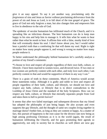give it an easy appeal. To say it yet another way, proclaiming only the *forgiveness* of sins and Jesus as Savior without proclaiming *deliverance* from the power of sin and Jesus as Lord, is to fall short of the true gospel of grace. The grace of God not only forgives a man, but also changes him and empowers him to live in obedience to the rule of God.

The epidemic of secular humanism has infiltrated much of the Church, and it is spreading like an infectious disease. The best humanism can do is keep man happy in his sins and help him to manage it. It tells him what he wants to hear rather than what he *needs* to hear. It affirms him with a false, mushy kind of love that will eventually damn his soul. I don't know about you, but I would rather hear a painful truth than a comforting lie that will damn my soul. Right is right no matter how many people oppose it, and wrong is wrong no matter how many people endorse it.

To better understand the philosophy behind humanism let's carefully analyze a portion of my friend's comments:

**"**I choose to love and respect all people regardless of their own faith, culture, or lifestyle. I have been married to women twice, and divorced twice. If two men or two women are perfectly content with each other, and truly love each other, I am perfectly content in that and would be supportive of them in any way I can."

There is a grain of truth in these comments. Much of America would accept these statements today. Although it is godly and noble to love and respect all people regardless of their faith, culture, and lifestyle, we should not love and respect any faith, culture, or lifestyle that is in direct contradiction to the Lordship of Jesus Christ and the standard of the holy Scriptures. How can we respect any faith, culture, or lifestyle that eternally separates people from God and takes them to hell to perish forever?

It seems that after two failed marriages and subsequent divorces that my friend has adopted the philosophy of just being happy. He also accepts and even supports the gay lifestyle, and the thought of same sex couples living together in marriage doesn't bother him, as long as they are content or happy. As a matter of fact, this pursuit of happiness is the root cause for the divorce rate now being as high among professing Christians as it is in the world (again, the result of humanism infiltrating the Church), and for gays promoting their agenda so aggressively, not only in society but in churches as well (there are now gay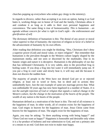churches popping up everywhere who ordain gay clergy to the ministry).

In regards to divorce, rather than accepting it as even an option, hating it as God hates it, working things out in honor of God and the family, Christians allow it and condone it as long as it adds to their own personal happiness and convenience. The same thing is true of homosexuality. *This is humanism – an agenda without concern for what is right in God's sight – the enthronement and glorification of self*.

The dictionary definition of humanism is this: The denial of any power or moral value superior to that of humanity; the rejection of religion in favor of a belief in the advancement of humanity by its own efforts.

After reading that definition you might be thinking, "Hey, Christians don't deny a superior power (God) and moral value, or reject religion!" But remember that humanism is the prevalent thought in the Western culture largely shaped by the mainstream media, and not seen or discerned by the multitudes. Due to its Satanic origin and nature it is deceptive. Humanism is the philosophy of our day that has infiltrated Christianity. It is very subtle, akin to the proverbial frog in boiling water. If you drop a frog into hot water it will immediately jump out. If you put a frog in cool water and slowly heat it, it will stay and die because it does not discern the sudden heat.

The majority of people in the West have not denied God per se or rejected religion, at least not in word or form, but in deed and in actions they undoubtedly have. Just the one example of same-sex marriage proves that. What was unthinkable 50 years ago has now been legalized in a number of States. *It is not the outright rejection of God or religion that signals a radical change in the Western culture, but the change in the motivation of the hearts of the people.* The wealth of any nation is the hearts of the people.

Humanism defined as a motivation of the heart is this: The end of all existence is the happiness of man. In other words, all of creation exists for the happiness of man. God reigns in heaven for the happiness of man. Jesus Christ came from heaven for the happiness of man. The angels exist for the happiness of man.

Again, you may be asking: "Is there anything wrong with being happy?" and "Does God not want us happy?" Happiness is honorable and desirable only when it is a by-product of holiness and true submission to God, and not a primary aim or a means to an end. God does not exist to make man happy.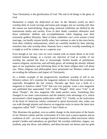True Christianity is the glorification of God. The end of all things is the glory of God.

*Humanism is simply the deification of man.* In the Western world we don't worship idols of wood carvings and totem pole images, but we worship self; thus the reason our hard-drinking, drug-using, immoral celebrities are deified by the mainstream media and society. Even in their death, countless obituaries laud these celebrities' abilities and accomplishments while skipping over their extremely godless lifestyles. Most of these celebrities can't even sustain a brief marriage, can hardly remain briefly sober, but continue to rake in the extra bucks from their celebrity endorsements, which are carefully heeded by their adoring, senseless fans who worship them. Humans have a need to worship something so it might as well be a better me or a superior you.

Even though at our very core we were created with an innate desire to be Godcentered human beings, as a society our rejection of God as worthy of our worship has opened the door to increasingly foolish brands of polytheism, eastern religions, mysticism, and self-help gurus, all stroking the already inflated egos of our population and informing them of the latest religion that's all about *you*. These religions and philosophies have penetrated our Western culture and are eroding the influence and impact of Christianity.

As a further example of the progressively inordinate worship of self in our Western culture, let's examine the magazine industry to illustrate this evolution, especially throughout the last century. Decades ago there was a birth of a magazine in America called "Life" that was very popular. Later a new magazine was published that superseded "Life" called "People". Well, since "Life" is all about "People", the new magazine title made perfect sense. Something then changed in our inner consciousness and the industry took advantage of it, which necessitated a third magazine publication called "Us". Finally, as the motivation of the heart of American culture continued to spiral downward, alas, today you can walk through airports and observe on magazine racks in stores the latest new magazine called "Self". Coincidence? I don't think so.

This illustrates the gradual, ever-so-subtle change in the motivation of the hearts of our Western culture and the evolvement of it into such a preoccupation and an exaltation of self – an even stronger brand of humanism called narcissism where people's bodies and nakedness are glorified. We worship celebrities, singers, sex symbols, pop star divas, and athletes, and these become our heroes and our gods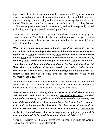regardless of their often-times questionable character and lifestyle. We save the whales, the eagles, the bears, the trees, and mother earth, but we kill babies. And yes, we encourage homosexuality and now same sex marriage, but outlaw school prayer. This is the rotten fruit of secular humanism, and it is killing Western civilization as generations past have known it, and as I've repeatedly stated, infiltrating, infecting, and greatly weakening the Church.

Humanism is the betrayal of the ages and is in direct contrast to the gospel of Jesus Christ and to Christianity. It's been around for thousands of years, before creation as a matter of fact. It was born from rebellion in the heart of Lucifer before the creation of man.

**"***How you are fallen from heaven, O Lucifer, son of the morning! How you are cut down to the ground, you who weakened the nations!For you have said in your heart: 'I will ascend into heaven, I will exalt my throne above the stars of God; I will also sit on the mount of the congregation on the farthest sides of the north; I will ascend above the heights of the clouds, I will be like the Most High.' Yet you shall be brought down to Sheol to the lowest depths of the Pit. Those who see you will gaze at you, and consider you, saying: 'Is this the man who made the earth tremble, who shook kingdoms, who made the world as a wilderness and destroyed its cities, who did not open the house of his prisoners'"* **(Isa 14:12-17)?**

Lucifer asserted his own will above God's will. He deified himself to be as God. Then after his fall from heaven he subtly disseminated his humanistic philosophy, the ascension and exaltation of self, into Eve's ears.

*"The serpent was more cunning than any beast of the field which the LORD God had made. And he said to the woman, "Has God indeed said, 'you shall not eat of every tree of the garden'?" And the woman said to the serpent, "We may eat the fruit of the trees of the garden; but of the fruit of the tree which is in the midst of the garden, God has said, 'You shall not eat it, nor shall you touch it, lest you die?'" Then the serpent said to the woman, "You will not surely die. For God knows that in the day you eat of it your eyes will be opened and you will be like God, knowing good and evil" (Gen 3:1-5).*

Notice how Lucifer, now Satan, deceived Eve. He made her doubt the Word of God by making these three core statements: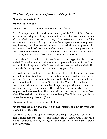#### *"Has God really said not to eat of every tree of the garden?"*

#### *"You will not surely die."*

#### *"You will be like God."*

Therein those three statements lay the deification of man.

First, Eve began to doubt the absolute authority of the Word of God. Did you notice in the dialogue with my facebook friend that he never referenced the Word of God nor did he respond to any of my references? Unless the Bible becomes the basis and authority of our total belief system we will give place to lies, heresies, and doctrines of demons. Satan asked Eve a question that amounted to: "Did God really mean what He said?" That subtle questioning of God's Word then turned into a bold contradiction of it: "You will not surely die." And finally, it ended with a false promise: "You will be like God."

It was when Adam and Eve acted on Satan's subtle suggestion that sin was birthed. Then with sin came sickness, disease, poverty, hatred, strife, suffering, and death. It all began in Lucifer's heart and then was injected into God's first creation before being passed on throughout every generation.

We need to understand the spirit or the heart of man. In the center of every human heart there is a throne. This throne is always occupied by either of two aspirants: God or self. When God is enthroned by the human heart and will, then man is positioned correctly under God's authority. When self is enthroned then God becomes dethroned, and man lives independently of God and becomes his own master, a god unto himself. He establishes the standards of his own happiness and interprets them. This is the deification of man, and it is what Satan offered Eve and what he offers every human being. The Bible correctly calls this self-enthronement godlessness (Rom 1).

The gospel of Jesus Christ is one of self-denial.

#### *"If any man will come after me, let him deny himself, take up his cross, and follow me" (Mat 16:24).*

Self-denial is the giving up and surrender of every part of you to God. The real gospel brings man under the total possession of the Lord Jesus Christ. *Man has a natural aversion to denying himself, and any gospel that caters to this aversion is another gospel.*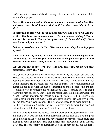Let's look at the account of the rich young ruler and see a demonstration of this aspect of the gospel.

*Now as He was going out on the road, one came running, knelt before Him, and asked Him, "Good Teacher, what shall I do that I may inherit eternal life?"*

*So Jesus said to him, "Why do you call Me good? No one is good but One, that is, God. You know the commandments: 'Do not commit adultery,' 'Do not murder,' 'Do not steal,' 'Do not bear false witness,' 'Do not defraud,' 'Honor your father and your mother.'"*

*And he answered and said to Him, "Teacher, all these things I have kept from my youth."*

*Then Jesus, looking at him, loved him, and said to him, "One thing you lack: Go your way, sell whatever you have and give to the poor, and you will have treasure in heaven; and come, take up the cross, and follow Me."*

*But he was sad at this word, and went away sorrowful, for he had great possessions. (Mark 10:17-22)*

This young man was not a casual seeker like so many are today, but was very earnest and sincere. He *ran* to Jesus and *knelt* before Him to inquire of how to obtain this great salvation. Did you notice that when Jesus quoted the Ten Commandments He purposely left out four of them? The commandments He quoted all had to do with the man's relationship to other people while the four He omitted were in respect to his relationship to God. According to Jesus, that is where this man fell short. That is also the reason Jesus did not acknowledge the "Good Teacher" greeting, but instead pointed the man to God. In other words, Jesus is saying to the rich man, "Since you don't believe I am God why do you call me good? Only God is good." This rich man needed to be made aware that it was his relationship to God that lacked. His riches stood between him and God. In fact, his wealth had become his god. Self was on the throne.

The way to be delivered and set free from the greed and covetousness that was in this man's heart was for him to sell everything he had and give it to the poor. Then in doing so, he would not only have treasure in heaven, but he could then take up his cross and follow Jesus. But the rich man just wouldn't do it. He went away sad. The philosophy of humanism is to make man happy, but the gospel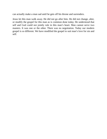can actually make a man sad until he gets off his throne and surrenders.

Jesus let this man walk away. He did not go after him. He did not change, alter, or modify the gospel for this man as is common done today. He understood that self and God could not jointly rule in this man's heart. Man cannot serve two masters. It was one or the other. There was no negotiation. Today our modern gospel is so different. We have modified the gospel to suit man's love for sin and self.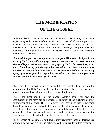# **THE MODIFICATION OF THE GOSPEL**

*"When backsliders, hypocrites, and the half-hearted seeker among us are made to feel comfortable instead of convicted, soothed instead of smitten, pampered instead of pricked, then something is terribly wrong. The holy fire of God is to burn so brightly in the Church that it allows no room for indifference so that hypocrites will not be able to stay and the true seekers will not be able to remain unchanged." -* Author

*"I marvel that you are turning away so soon from Him who called you in the grace of Christ, to a different gospel, which is not another; but there are some who trouble you and want to pervert the gospel of Christ. But even if we, or an angel from heaven, preach any other gospel to you than what we have preached to you, let him be accursed. As we have said before, so now I say again, if anyone preaches any other gospel to you than what you have received, let him be accursed" (Gal 1:6-9).*

These are the strongest of words penned by the apostle Paul through the inspiration of the Holy Spirit to the Galatian Christians. Twice Paul declares a terrible curse on those who pervert the real gospel of Christ.

One of the great tragedies of the modern Western gospel has been the accentuation of the blessings and benefits of salvation at the exclusion of other components of the cross. There is a very large movement that is sweeping through many churches today that major on life-enhancement, self-help, and self-esteem without hardly ever confronting sin and the works of the flesh. Sadly lacking from this sugar-coated gospel are heart-repentance, holiness, and the empowering grace of God to live in obedience to His demands.

The preachers of this smooth, soft gospel may frequently speak of forgiveness, but rarely do we hear a clear and definitive call for surrender in true repentance.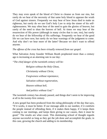They may even speak of the blood of Christ to cleanse us from our sins, but rarely do we hear of the necessity of that same holy blood to appease the wrath of God against sinners. Frequently we may hear of how Jesus died to make us righteous, but rarely do we use God's holy Law to strip the sinner of his selfrighteousness. We may often hear of the need to gain the glories of heaven, but rarely of the need to shun the horrors of hell. At times we may hear of the resurrection of His power (although in many circles that is rare, too), but rarely do we hear of the fellowship of His sufferings. Frequently we hear of the good life we can have now, but rarely do we hear warnings of the judgment to come. And why don't we hear more of the latter? Because we don't want to offend anyone.

#### *The offense of the cross has been virtually removed from our gospel.*

What Salvation Army founder William Booth prophesied more than a century ago is increasing at an alarming rate in our day:

*"The chief danger of the twentieth century will be:*

*Religion without the Holy Ghost, Christianity without Christ, Forgiveness without repentance, Salvation without regeneration, Heaven without hell, And politics without God."*

The twentieth century has already passed, and things don't seem to be improving at all in the twenty-first century.

A new gospel has been produced from the ruling philosophy of the day that says, "If it works, it must be better. If our message adds to our number, if it comforts the people instead of offending them, if it makes them happy, if it keeps them coming to our meetings, and keeps them giving to our causes, then it must be good." The results are what count. This dominating school of thought regards anyone successful as long as they get the job done and accomplish the goals; in this case, growing the church and adding to its membership.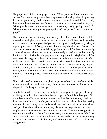The proponents of this other gospel reason, "More people and more money equal success." It doesn't really matter how they accomplish their goals as long as they do. In this philosophy God becomes a means to an end; a useful God to help them attain the desired success. Others, to sound even more persuasive, may say, "More people means more salvations", but are they really getting saved? Or "More money means a greater propagation of the gospel", but is it the real gospel?

The rich man that went away sorrowfully after Jesus told him to sell his possessions and give the money to the poor would've still been with us today had he heard the modern gospel of goodness, acceptance, and prosperity. Many a popular preacher would've gone after him and negotiated a deal. Instead of a clear call to renounce his materialism, perhaps he could've been more easily convinced to just believe that Jesus was not merely a good teacher, but actually the Son of God. A simple little prayer would've got him in. Maybe he could've been persuaded to give a tithe of his possessions to the ministry instead of selling it all and giving the proceeds to the poor. That would've been much more reasonable and much less offensive to him, and that tithe would really help the church. After all, he had worked hard for his money. Or another popular method employed today would've been to make him an elder and offer him a position in the church and then perhaps his sorrow would be eased and his happiness would return.

This is what we've done with the glorious gospel of our Lord. We've modified it; we've added to it and taken away from it; we've altered it, diluted it, and adapted it to fit the spirit of the age.

Here is the mind-set of those who modify the message of the gospel: "If people are living in sin let's just teach them how to cope. Let's tell them how good God is and how much He loves them no matter how they live or what they've done. If they have an affinity for sinful pleasures then let's not offend them by making mention of that. If they abhor self-denial then let's not talk about that either. Let's just love them without putting any demands or requirements on them. If people want to be entertained then let's entertain them. Then our message will be even more appealing to them. Let's meet everyone where they're at. We'll use short, non-confronting sermons and humorous skits and dramas in a friendly way to spark their interest. Gradually they will come around, and God's love will change them."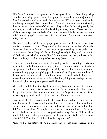This "new" mind-set has spawned a "new" gospel that is flourishing. Mega churches are being grown from this gospel in virtually every major city in America and other nations as well. Pastors are the CEO's of these churches that are being managed like corporations. Deceitful workers are transforming themselves into the apostles of Christ who glory in their flesh, their growth, their numbers, and their influence, while deceiving so many others. These men boast of their new gospel and methods of reaching people while daring to criticize the old-fashioned gospel as being out of date and out of style and not meeting today's needs.

The new preachers of this new gospel preach love, but it's a love that never rebukes, corrects, or trains. They mention the name of Jesus, but it's another Jesus that they have formed in their own image according to the godless pop culture around them. They talk about a loving heavenly Father, but know nothing of God being an All Consuming Fire. While emphasizing the goodness of God they completely avoid warnings of His severity (Rom 11:22).

If a man is ambitious, has strong leadership skills, a warming charismatic personality, and he knows how to employ the right formula and new methods, he can grow a church almost overnight, especially by preaching a non-confronting, non-convicting gospel and giving people what their itching ears want to hear. At the core of these new preachers' ambition, however, is an insatiable desire for an honored reputation and an unsanctified drive for quick growth and quick results that would give them greater power and influence.

Men find great fulfillment in significance so any hook with the bait of power and success dangling from it is an easy temptation. Yet we must realize that some of the greatest failures by human standards are God's greatest successes. God's measuring gauge and standard of success is so different than man's.

Noah would be the classic example of a great failure today. His message and ministry spanned 120 years, but produced no converts outside of his own family. He was an excellent carpenter and ship builder, but as a preacher he failed and didn't get the job done: No numbers, no following, and no influence. The gospel he preached and the methods he used produced nothing. But the Bible speaks of him in lofty terms calling him a preacher of righteousness (2 Pet 2:5), obedient (Gen 6:22, 7:5), and perfect (blameless, having integrity).

*"This is the genealogy of Noah. Noah was a just man, perfect in his*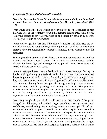#### *generations. Noah walked with God" (Gen 6:9).*

#### *"Then the LORD said to Noah, "Come into the ark, you and all your household, because I have seen that you are righteous before Me in this generation" (Gen 7:1).*

What would you rather have written on your tombstone - the accolades of men that were lies, or the testimony of God that remains forever true? What do you want your epitaph to say? Do you want to be honored by earth or by heaven? How do you want to be remembered?

Where did we get the idea that if the size of churches and ministries are not numerically large, do not grow fast, or do not grow at all, and do not meet man's approval they are automatically counted as failures? From whence comes this persuasion?

By using the right formula and Madison Avenue tactics almost anyone can draw a crowd and build a church today. Add to that, an entertainment, sociallyadapted, fun-based "gospel" message and people will come. Then word will spread and more people will come.

Here's an example I heard the late David Wilkerson share years ago: During one Sunday night gathering in a seeker-friendly church where thousands attended, the pastor got up and said: "This is a fun night, a David Letterman night." Then the youth pastor came out and did a monologue as David Letterman. He showed 10 of the most boring things teenagers do during preaching. Three of the ten were throwing spitballs, yawning, and picking their noses. The people in attendance went wild with laughter and great applause. As the church service was closing the pastor shamelessly announced, "We're not here to offend anyone, but to make church comfortable for everybody."

How many people do you think would remain in that church if the pastor changed his philosophy and suddenly began preaching a strong anti-sin, antiworldliness, cross-bearing, Jesus exalting repentance message? I'll tell you exactly what would happen. It would cause a church split. Some would be offended and leave. Others would be convicted and repent. But what would we rather have: 1000 false converts or 100 true ones? The way you win people is the way you keep them. If you win them with entertainment you're going to have to entertain them to keep them. If you win them with a soft gospel you're going to have to continue to feed them a soft gospel to keep them. Falsehood, half-truths,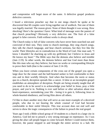and compromise will beget more of the same. A defective gospel produces defective converts.

I heard a television preacher say that in one mega church he spoke at he discovered that 60 couples were living together out of wedlock. Not one of them was legally married. The reason given: None of them thought it was wrong. How shocking! Here's the question I have: What kind of message were the pastors of that church preaching? Obviously a very defective one. The fruit of a false gospel is false converts. Faith without works is always dead.

The Church today is full of false converts who have never been searched out and convicted of their sins. They come to church meetings, they sing church songs, they talk the church language, and hear church sermons, but they live like the world. Their lifestyles are in contradiction to the Word of God. One man said, "I know I shouldn't be shacking up with my girlfriend, but I believe in Jesus and He knows my heart." The Bible says that the demons also believe and tremble (Jam 2:19). In other words, the demons believe and fear God more than those like this man who say they believe, but have no works or corresponding lifestyle to prove their faith (that is the context of Jam 2:14-18).

When you leave certain components of the cross out of the gospel you open a large door for the sinner and the half-hearted seeker to feel comfortable in their sins and in their worldly lifestyle. And when that becomes the norm or status quo in a church, deception spreads like a cancer. A false or an incomplete gospel establishes an atmosphere of deception. People are being errantly taught that all you need to do to be saved is to acknowledge your belief in Jesus, pray a little prayer, and you're in. Nothing is ever said before or after salvation about true heart-repentance, surrendering your life - losing it to gain it, following Jesus in whole-hearted obedience, and loving Him above all others.

I'd like to share another story that will serve as one more example of a deceived people, who due to *not* hearing the whole counsel of God had become comfortable in their sinful lifestyle. This true account does not end well and serves to show the tragic consequences of the failure to preach the real gospel.

Years ago I took a Bible school group of 10 students to a church in a large city in America. God led me to preach a very strong message on repentance. As I was giving the altar call people began to come forward. Before I could instruct them, however, the pastor stepped in and brought the entire service to a halt. He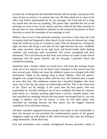accused me of being hard and defended himself and his people, saying that they were all just as saved as I or anyone else was. He then asked me to come to his office and further reprimanded me for my message. The Lord told me to keep my mouth shut and not say anything. This pastor then cancelled the rest of the meetings we were to have in his church, and also called all the other churches in the area that we were scheduled to minister in and convinced the pastors of those churches to cancel the remainder of our meetings as well.

Within a day or two of that particular meeting I received a vision from the Lord to explain what had happened in that church. In the vision he showed me a large snake all coiled up on top of a mound of sand. Then he showed me cocking my right arm back and firing a rock that hit him right between the eyes. Suddenly that snake uncoiled, raised up his ugly head, and hissed loudly while shaking violently and scattering sand everywhere. His secure stronghold had been threatened. The Lord showed me that there were serious sin issues in that church beginning with the pastor himself, and the message I preached shook and unsettled everything.

Sometime later a brother whom we found favor with from this hosting church wrote me at my request to let me know what transpired in that church over the next several years. Within two years the children's pastor was charged with child molestation. Think of the damage done to those children. Then the pastor's daughter was caught having an affair with her boss. Her husband died a couple of years after that. This adulteress woman has a beautiful daughter who loves Jesus, but to this day she enjoys no relationship with her. This is the rotten fruit of sin. That's not all, though. A few years later the host pastor, who was responsible for virtually kicking us out of town, suddenly fell dead of a massive heart attack on a Sunday morning right before a service. Another pastor, who had cancelled our meetings because the host pastor encouraged him to, was also caught in adultery and lost his church. It turns out this other pastor only cancelled our meetings because the host pastor was the biggest financial contributor of his television ministry.

All these casualties happened because people were made to feel comfortable in their sin; because no one preached the confrontational aspects of the gospel. Judgment caught up with people in this church because they were not willing to judge themselves. Think about that.

Evil and wickedness were actually strengthened because preachers failed to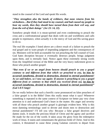stand in the counsel of the Lord and speak His words.

*"They strengthen also the hands of evildoers, that none returns from his wickedness…But if they had stood in my counsel, and had caused my people to hear my words, then they should have turned them from their evil way, and from the evil of their doings" (Jer 23: 14, 22).*

Somehow people think it is mean-spirited and even condemning to preach the cross and a confrontational gospel that deals with sin and worldliness and calls people to repentance, when actually it is the mercy of God and His saving grace to do so.

The real life examples I listed above are a direct result of a failure to preach the real gospel and to warn people of impending judgment and the consequences of sin. Ministers will be held accountable for not preaching the full counsel of God. God hates deception because it eventually destroys people, brings judgment upon them, and is eternally fatal. Notice again these extremely strong words from the Amplified version of the Bible and the very heavy indictment given to those who preach another gospel:

*"But even if we or an angel from heaven should preach to you a gospel contrary to and different from that which we preached to you, let him be accursed (anathema, devoted to destruction, doomed to eternal punishment)! As we said before, so I now say again: If anyone is preaching to you a gospel different from or contrary to that which you received [from us], let him be accursed (anathema, devoted to destruction, doomed to eternal punishment)" (Gal 1:8-9 Amp)!*

Do we really believe that such a horrific curse pronounced on false preachers of a false gospel is in the Bible? Does this really mean what it says? Whenever something is repeated in the same context of Scripture we better pay very close attention to it and understand God's heart in the matter. His anger and severity with all those who preach another gospel is glaringly evident here. Why is this most damning terminology used to devote and doom men to destruction and eternal punishment? I'll tell you why: Because a false gospel deceives and damns souls. It insults the precious blood of Christ and the agony and sacrifice He made for the sin of the world. It takes away the glory from the redemptive work of Jesus. It stains and contaminates the glorious bride of Christ. And in this context, it threatened to cause these young Galatian converts to depart from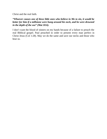Christ and the real faith.

#### *"Whoever causes one of these little ones who believe in Me to sin, it would be better for him if a millstone were hung around his neck, and he were drowned in the depth of the sea" (Mat 18:6).*

I don't want the blood of sinners on my hands because of a failure to preach the real Biblical gospel. Paul preached in order to present every man perfect in Christ Jesus (Col 1:28). May we do the same and save our necks and those who hear us.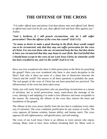# **THE OFFENSE OF THE CROSS**

*"I'd rather offend man and please God than please man and offend God. Better to offend man and God be for you, than offend God and have Him against you."* Author

*"And I, brethren, if I still preach circumcision, why do I still suffer persecution? Then the offense of the cross has ceased" (Gal 5:11).*

*"As many as desire to make a good showing in the flesh, these would compel you to be circumcised, only that they may not suffer persecution for the cross of Christ. For not even those who are circumcised keep the law, but they desire to have you circumcised that they may boast in your flesh. But God forbid that I should boast except in the cross of our Lord Jesus Christ, by whomthe world has been crucified to me, and I to the world" (Gal 6:12-14).*

Have you ever wondered why there is little persecution in the West for preaching the gospel? Have you ever wondered why there is also much deception in the West? And why is there not more of a sharp line of distinction between the Church and the world? The answer to all these questions is probably the same. The real gospel of the cross of Christ has not been preached nor practiced. The offensiveness of the cross has been taken away.

Today you will rarely find preachers who are preaching circumcision as a means of salvation, but to avoid persecution, many water-down the message of the cross, altering it and adapting it to make it less offensive and more acceptable to the masses. By removing the offense of the cross they remove the heart and foundation of the gospel.

The offense of the cross arises chiefly from the fact that it condemns every other way of salvation. The cross condemns justification by any system of works. The cross opposes all human wisdom, human ability, and human merit. The cross opposes all self-righteousness, self-glorification, and self-seeking.

The cross of our Lord Jesus Christ is an offense to every person who enjoys sinning. Many want to have Jesus without forsaking their sin. Many want to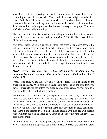have Jesus without forsaking the world. Many want to have Jesus while continuing to seek their own will. Many exalt their own religion whether it is Islam, Buddhism, Hinduism, or any other kind of 'ism above Jesus, or they add Jesus to it. Many want to hang on to their man-made traditions, denominational doctrines, and humanistic philosophies that are contrary to the gospel. The cross of Christ confronts all these things.

The way to destruction is broad and appealing to multitudes, but the way to eternal life is narrow and traveled by few (Mat 7:13-14). The cross of Jesus Christ is the narrow way.

Any gospel that proclaims a salvation without the cross is "another" gospel. It is sad to see how a great number of preachers today have bypassed or done away with the preaching of the cross of Jesus Christ. It is even possible to refer to the historical Jesus and preach about the crucifixion, describing the sufferings of Christ in strikingly vivid detail, as many preachers do, for example on Easter, and still miss the main points of the cross. If there is no confrontation of man's sinful nature, evil deeds, and rebellion that brings him to a crisis, then it is not the cross of Christ.

#### *"Verily, verily, I say unto you, He that enters not by the door into the sheepfold, but climbs up some other way, the same is a thief and a robber" (John 10:1).*

When Jesus says, "I am the way" and "I am the door," He is speaking of the cross. He is saying, "You cannot be saved, you cannot enter the kingdom, you cannot inherit eternal life unless you enter by way of the cross. Anyone who tells you any differently is a thief and a robber."

The thief and the robber will tell you repentance is not necessary. They say that Jesus has paid for all your sins, and you just need to accept the payment. They say all you have to do is believe. They say you don't need to worry about your sins because Jesus took care of the sin problem. They say that God loves you just the way you are. Now I'm not saying there isn't any truth in these statements, but where is the offense in it? Satan will not deceive with lies. He will deceive with truth that has a lie attached to it. There is an Arabic proverb that says: "All liars tell the truth."

I'm not saying that you should purposely try to be offensive. Nowhere in the New Testament did the apostles use fleshly means to preach the gospel in order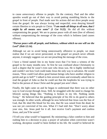to cause *unnecessary* offense to people. On the contrary, Paul and the other apostles would go out of their way to avoid putting stumbling blocks to the gospel in front of people. Paul made sure his actions did not drive people away from the gospel. He was always loving and respectful, even denying himself certain liberties to win people to Christ. *"I am made all things to all men, that I might by all means save some" (1 Cor 9:22).* He did all this without compromising the gospel. We are to pursue peace with all men (free of offense) without compromising the message of the cross which is holiness (and causes offense).

#### *"Pursue peace with all people, and holiness, without which no one will see the Lord" (Heb 12:14).*

Although we are to avoid being unnecessarily offensive to people, we must realize that if we are never persecuted, or the gospel we preach never offends anyone, it strongly suggests we are not preaching the message of the cross.

I have a friend named Jim in my home town that I've been a witness of the gospel to for many months now. At first he was confused about Christianity to such a degree that he wasn't even sure who Jesus was. He is highly intellectual and couldn't see how God could make Jesus the only way to salvation. He would reason, "How could God allow good human beings who have another religion to perish and go to hell?" I talked to him several times and eventually asked him to read the gospel of John so that he could see that the loopholes he was trying to find in the person of Jesus Christ and the gospel just aren't there.

Finally, the light came on and he began to understand that there was no other way to God except through Jesus. Still, he struggled with the need to change his lifestyle saying things like, "Nothing is broken in my life. Nothing needs fixing." He believed that the guiding principle of his life to do good to others was enough. In other words, although he now believed that Jesus was the Son of God, that He shed His blood for his sins, that He was raised from the dead, he was not yet convicted of his sins. What if I had told Jim: "Don't worry about your sins, Jim. Jesus paid for it all. Just receive God's payment and confess Jesus, and you'll be saved."

I'll tell you what would've happened. By ministering a false comfort to him and rushing him to a decision to pray a prayer of salvation when conviction wasn't working, deception would've been birthed in his life. He would've believed he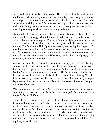was saved without really being saved. This is what has been done with multitudes of sinners everywhere, and that is the key reason why such a small percentage of them continue to walk with the Lord and bear fruit after supposedly receiving Jesus. We think we can bypass the cross and use other methods to bring people to salvation, and in so doing we become guilty of preaching another gospel and leaving so many in deception.

The more I talked to Jim the more I began to locate the root of his problem. He felt he would be unhappy with a different lifestyle than the one he has now. His current lifestyle includes regular Friday or Saturday night parties at his house where he and his friends drink booze and carry on until the wee hours of the morning. That's what the Holy Spirit was pressing and putting his finger on. So now there was conviction, but Jim was resisting the Holy Spirit in the process. It was all an issue of repentance and surrender. To this day I continue to meet with him and one other new convert in a Bible study, which Jim actually enjoys, but he has not yet come to salvation.

You see, the sinner believes that there can be no real enjoyment in life if he stops sinning. He does not seem to realize that the person who has repented has no desire to sin. The grace of God changes a person's desires and empowers him to live for Christ. It is an inward transformation. That's the miracle of salvation. I dare to say that if the desire to sin is still in the heart of a professing Christian then he has not yet tasted of the real salvation. New life has not yet begun. Regeneration has not taken place. Listen to the voice of one of the great revivalists of the past:

*"Christianity does not make the believer unhappy by keeping him away from the sinful things he loved because the believer has changed his opinion on those things." Charles G. Finney*

Finney defined repentance as a change of the ultimate preference or choice of the soul and of action. He taught that repentance is a change of will, feeling, and of life in respect toward God. Finney believed that true repentance involves more of the person's will and conscience than his natural feelings. Feelings are involuntary and have no moral character except what they derive from the action and the will. He would admonish sinners to submit and commit their entire being to God at once, obey their conscience, and the feelings would soon follow. God requires you to will right.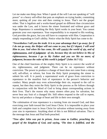Let me make one thing clear. When I speak of the will I am not speaking of "will power" or a heavy self-effort that puts an emphasis on trying harder, committing more, quitting all your sins and then coming to Jesus. That's not the gospel either. That is legalism and a works-based gospel no different than circumcision was under the Law, and it leaves the sinner frustrated and without grace and hope. Repentance is something the Holy Spirit works in your heart. You cannot generate your own repentance. Your responsibility is to respond to His working. God provides the grace, but you still have to cooperate with Him. Cooperation is simply responding to God's ability. Notice what the Holy Spirit has come to do:

#### *"Nevertheless I tell you the truth. It is to your advantage that I go away; for if I do not go away, the Helper will not come to you; but if I depart, I will send Him to you. And when He has come, He will convict the world of sin, and of righteousness, and of judgment: of sin, because they do not believe in Me; of righteousness, because I go to My Father and you see Me no more; of judgment, because the ruler of this world is judged" (John 16:7-11).*

One of the chief functions of the mighty Holy Spirit is to convict the world of sin, righteousness, and judgment. There can be no repentance without conviction. The power to produce a change of heart does not come from a strong will, self-effort, or reform, but from the Holy Spirit prompting the sinner to submit his will. It is purely a supernatural work of grace from conviction to repentance to the manifest fruit of repentance in the person's behavior and conduct. Many people may even acknowledge their sin, respond to the call to repent, but then they resist the Holy Spirit in the process as He follows through in conjunction with the Word of God to bring about corresponding actions in their lives. That's the reason why many sinners often pray for salvation, but never bear any fruit of a changed life. Still others respond to the call to repent, but try and produce a change of heart and life in their own strength.

The culmination of true repentance is a turning from sin toward God, and then exercising your faith toward the Lord Jesus Christ. It is impossible to place your faith and complete trust in Jesus Christ for salvation without turning away from your sins in repentance. Anything short of this is not Biblical salvation. That is the message that Jesus and Paul both preached.

*"Now after John was put in prison, Jesus came to Galilee, preaching the gospel of the kingdom of God, and saying, 'The time is fulfilled, and the*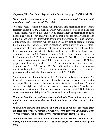#### *kingdom of God is at hand. Repent, and believe in the gospel'" (Mk 1:14-15).*

#### *"Testifying to Jews, and also to Greeks, repentance toward God and faith toward our Lord Jesus Christ" (Acts 20:21).*

I've read books written by ministers implying that repentance is no longer necessary under the New Covenant. Others would not go so far as to make such foolish claims, but erred the same way by making light of repentance or never mentioning it at all. They loudly proclaim all that is needed for salvation is faith in the finished work of Christ while downplaying repentance as if it is somehow a dirty word. These ministers will expound on this by quoting certain scriptures that highlight the element of faith in salvation, based purely on grace without works, which of course is absolutely true, and should always be emphasized, but they leave out other aspects of salvation and the cross. They emphasize such scriptures as Paul and Silas' response to only "believe" when they were asked by the Philippian jailer, "What must I do to be saved?" (Acts 16:31), the "believe and confess" component in Rom 10:9-10, and the "believe" of John 3:16 (John's gospel alone has many such references), but often isolate these from such scriptures as, Acts 2:38, Acts 3:19, Acts 5:31 and a host of others where repentance is highlighted. We need to understand that repentance is a part of the great commission and what Jesus told us to preach (Lk 24:47).

Are repentance and faith polar opposites? Are they at odds with one another? Is it two different coins we are playing with, or two sides of the same coin? Has the professing Christian who is shacking up with his girlfriend and says: "I know I'm not living right, but I believe in Jesus and he knows my heart,"- really come to repentance? Is that kind of belief in Jesus enough to get him in? Did Christ die so we could continue living in sin? Is that what these following verses say?

#### *"Knowing this, that our old man was crucified with Him, that the body of sin might be done away with, that we should no longer be slaves of sin" (Rom 6:6).*

*"But God be thanked that though you were slaves of sin, yet you obeyed from the heart that form of doctrine to which you were delivered. And having been set free from sin, you became slaves of righteousness" (Rom 6:17-18).*

*"Who Himself bore our sins in His own body on the tree, that we, having died to sins, might live for righteousness—by whose stripes you were healed" (1 Pet 2:24).*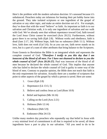Here's the problem with the modern salvation doctrine: It's unsound because it's unbalanced. Preachers today are infamous for beating their pet hobby horse into the ground. They take isolated scriptures or one ingredient of the gospel of salvation or any other topic, and make an entire doctrine out of it. For example, they've done that with the word "believe" or faith. As important as faith is to our salvation and Christian walk, it is only one ingredient of salvation and our walk with God. We've already seen that without repentance toward God, faith toward the Lord Jesus Christ cannot be exercised (Acts 20:21). Furthermore, without grace there is no saving faith (Eph 2:8). Without works and obedience, faith is dead (Jam 2:17, 24). Without hope, faith has no substance (Heb 11:1). Without love, faith does not work (Gal 5:6). So as you can see, faith never stands on its own, but is a part of a sum of other attributes that bring balance to the Scriptures.

From Genesis to Revelation the Bible is an integrated whole and represents the complete counsel of God. *"Therefore I testify to you this day that I am innocent of the blood of all men. For I have not shunned to declare to you the whole counsel of God" (Acts 20:26-27).* Paul was innocent of the blood of all men because he declared the whole counsel of God. This implies that anyone who has failed to declare the whole counsel of God is guilty in some way of the blood of men. Contrary to popular opinion, the Bible does not teach that faith is the *only* requirement for salvation. Actually there are a number of scriptures that point to other aspects of the gospel by which a person is saved. Here are some:

- 1. Grace (Eph 2:8)
- 2. Repentance (Lk 13:3, 5)
- 3. Believe and confess Jesus as Lord (Rom 10:9)
- 4. Belief and baptism (Mk 16:16)
- 5. Calling on the Lord (Acts 2:21)
- 6. Holiness (Heb 12:14)
- 7. Obedience (Heb 5:9)
- 8. Endurance (Mat 24:13)

Unlike many modern day preachers who repeatedly say that belief in Jesus with a very minimal level of commitment is all that is required to be saved, all these ingredients have a part to play in our salvation. "All you need to do to be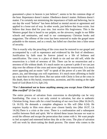guaranteed a place in heaven is just believe", seems to be the common dirge of the hour. Repentance doesn't matter. Obedience doesn't matter. Holiness doesn't matter. I'm certainly not minimizing the importance of faith and believing, but in our day the word "believe" has been defined as mental ascent or agreement and applied in a loose sort of way. In other words, just believe that Jesus exists. Just believe that Jesus died for your sins. Just receive His forgiveness. This is the Western gospel that is heard in our pulpits, on the airwaves, taught in our Bible schools and seminaries, and read in our contemporary Christian books and magazines. The offense of the cross has been removed to make the gospel more palatable to the masses, and as a result, has lulled our churches into a false sense of security.

This is exactly why the preaching of the cross must be restored to our gospel and accompanied by a call to repentance and evidenced by the fruit of obedience. Justification by faith must be forever joined to a life of holiness and sanctification. The cross is a place of death to sin and our old self, while the resurrection is a birth of newness of life. There can be no resurrection and a newness of life without death. It's much easier on a person's pride if we can just skip over the offense of the cross and move right into the resurrection. It is much more appealing and an easier "sell" to speak of the power of a new life and the peace, joy, and blessings you will experience. It's much more affirming to build up a man than to tear him down. But our union with Christ is first at the cross in His death, then in His burial, resurrection, ascension, and His seating at the right hand of God (Rom 6:3-4, Eph 2:6).

#### *"For I determined not to know anything among you except Jesus Christ and Him crucified" (1 Cor 2:2).*

The entire process of salvation from conversion to discipleship can be very humiliating. The cross is not only central to salvation, but also to authentic Christian living. Jesus calls for a total forsaking of our own lives (Mat 16:24-25, Lk 16:33). He demands a complete allegiance to His will (Mat 6:24). He requires loyalty to Him even above your closest family ties (Mat 10:37, Lk 14:26).There is a crisis at the cross. There is a confrontation and a subsequent conflict between flesh and spirit. We've skirted these issues because we want to avoid the offense and escape the persecution that comes with it. We want people to feel accepted and esteemed before they die at the cross. The plan of salvation will not work by short-cutting the death process. The sinner who comes to the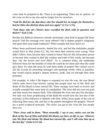cross must be prepared to die. There is no negotiating. There are no options. At the cross we die to our sins and no longer live for ourselves.

#### *"And He died for all, that those who live should live no longer for themselves, but for Him who died for them and rose again" (2 Cor 5:15).*

#### *"And those who are Christ's have crucified the flesh with its passions and desires" (Gal 5:24).*

Besides the Biblical references already mentioned, what kind of gospel did Jesus preach? Did His message ever cause offense? Did it shatter people's religiosity and upset their man-made traditions? What example did Jesus leave us?

When Jesus performed miracles, healed the sick, and fed the multitudes people would flock to Him (John 6:2, 26), but often their motives were wrong. They didn't follow Jesus because they wanted to honor Him for His miraculous power or because they wanted to hear the wisdom and truth of His words, but because they "*ate the loaves and were filled*". As is common today, the multitudes followed Jesus for the benefits of what He could do for them and what He could give them. So what did Jesus do with these kinds of people? His custom was to sift the crowds by preaching messages and speaking words, often in parables, that would expose people's impure motives, pride, and cut through their false pretenses.

For example, in John 6 He began to expound on who He was, the true Bread which came down from heaven, saying that people must eat of His flesh and drink of His blood to have eternal life. These sayings were hard to receive and actually sounded like some kind of cannibalism. The Jews did not even eat pork and ham much less human flesh. This offended the Jews and also His disciples. Not only was Jesus prophesying of the death He would soon die, but also of the necessity of His followers to identify with Him. When Jesus spoke of the cost of following Him many left, and this is the pattern throughout the gospels. *Therein lay a great scriptural principle: The closer you get to the cross the less people there are.*

*"Then Jesus said to them, "Most assuredly, I say to you, unless you eat the flesh of the Son of Man and drink His blood, you have no life in you. Whoever eats My flesh and drinks My blood has eternal life, and I will raise him up at the last day" (John 6:53-54).*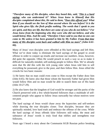*"Therefore many of His disciples, when they heard this, said, 'This is a hard saying; who can understand it?' When Jesus knew in Himself that His disciples complained about this, He said to them, "Does this offend you? What then if you should see the Son of Man ascend where He was before? It is the Spirit who gives life; the flesh profits nothing. The words that I speak to you are spirit, and they are life.But there are some of you who do not believe." For Jesus knew from the beginning who they were who did not believe, and who would betray Him. And He said, "Therefore I have said to you that no one can come to Me unless it has been granted to him by My Father. From that time many of His disciples went back and walked with Him no more" (John 6:61- 66).*

Many of Jesus' own disciples were offended at His hard sayings and left Him. What we've done today is eliminate the hard sayings of the gospel to avoid offense in order to conjure up results and increase our numbers. Jesus, however, did quite the opposite. Often He would preach in such a way so as to make it difficult for naturally-minded, self-seeking people to follow Him. We've already seen that He did this with the rich young ruler when Jesus told him to sell everything he possessed, give to the poor, and then follow Him. Jesus sifted the crowds for two basic reasons:

1) He knew that no man could even come to Him except the Father draw him (John 6:65). He knew also that those whom the heavenly Father had given Him would follow Him and no man would be able to snatch them out of His hand (John 10:27-29).

2) He also knew that the kingdom of God would be stronger and the purity of the Church preserved with a few whole-hearted followers than a multitude of selfcentered people who appear to follow Jesus outwardly but whose motives were not pure.

The hard sayings of Jesus would chase away the hypocrites and self-seekers while drawing the true disciples closer. True disciples, because they are spiritually minded, love hard truth and embrace the offense of the cross. While the hard sayings of Jesus offends false followers still today, the meat and substance of Jesus' words is truly food that edifies and strengthens true followers.

Years ago I heard a story about the Communist KGB Russian police breaking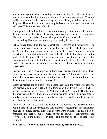into an underground church meeting and commanding the believers there to renounce Jesus or be shot. A number of them did so and were released. Then the KGB removed their uniforms revealing their true identity as fellow believers in disguise. They embraced the remaining believers and counted them as true followers. This is what Jesus also did.

Some people will follow Jesus for awhile outwardly, but soon draw back when they are offended. This is proof that they were not true followers to begin with. The same is true today. Many who profess Christ outwardly possess no corresponding lifestyle as evidence of grace's reality in their lives.

Let us never forget that the real gospel causes offense and persecution. The world's antichrist system currently under the sway of the wicked one (1 John 5:19) is in direct opposition to the message of the cross. The cross is against everything the world stands for; the lust of the flesh, the lust of the eyes, and the pride of life (1 John 2:16). Let us also remember that it was the spirit of the world working through the hard-hearted Jews that killed Jesus, the sinless Son of God. That is what the evil nature of man is capable of, and that is also what the cross has bridged.

Besides Jesus, the original apostles suffered great persecution and most of them were also martyred for preaching the same message. Additionally, millions of other Christians have been either killed or have suffered persecution throughout the centuries for preaching the real gospel.

Suffering persecution is a part of the gospel. Jesus said the world will hate you and persecute you (John 15:18-20), and families will be divided (Luke 12:51-53) because of Jesus and the gospel. In Matthew 10:17-22 He said to His disciples that men would deliver them up to councils, scourge them in their synagogues, family members would put other family members to death, and all men would hate them because of the gospel.

The book of Acts is also full of the exploits of the apostles and the early Church, but it is also full of the persecutions they suffered. Threatenings, imprisonments, beatings, stonings, deaths, riots, and uproars were frequent and all a part of preaching the gospel, but so were salvations, miracles, deliverances, and revivals. This is the nature of our gospel and one that needs to be desperately restored.

#### *"And blessed is he who is not offended because of Me" (Luke 7:23).*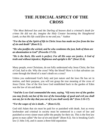# **THE JUDICIAL ASPECT OF THE CROSS**

*"The Most Beloved Son and the Darling of heaven died a criminal's death for crimes He did not do; imagine the Holy Creator becoming the Slaughtered Lamb, so that His life could flow to me and you."* Author

*"For the law of the Spirit of life in Christ Jesus has made me free from the law of sin and death" (Rom 8:1).*

*"He who justifies the wicked, and he who condemns the just, both of them are an abomination to God" (Proverbs 17:15).*

*"He is the Rock, His work is perfect; For all His ways are justice, A God of truth and without injustice; Righteous and upright is He" (Deut 32:4).*

Many people, even Christians, do not fully understand why Jesus Christ, the Son of God, had to die. Why the cross? Why the blood? How is it that salvation can come through the blood of a man's death on a cross?

Unless you understand God's holy and just nature and the laws He has set in motion, and their purpose, you will not grasp the true meaning of the cross of Jesus Christ. One of the first laws God established back in the garden of Eden was the law of sin and death.

*"And the LORD God commanded the man, saying, "Of every tree of the garden you may freely eat; but of the tree of the knowledge of good and evil you shall not eat, for in the day that you eat of it you shall surely die" (Gen 2:16-17).*

*"For the wages of sin is death…" (Rom 6:23).*

God told Adam that sin must be paid for or punished with death. Just as every lawbreaker and criminal in society must be sentenced in a court of law and punished so every sinner must suffer the penalty for their sin. This is the first law given to man called "*the law of sin and death*" (Rom 8:2). Sin is breaking God's law (1 John 3:4), and it causes a three-fold separation: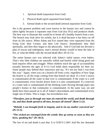- 1. Spiritual death (separation from God)
- 2. Physical death (spirit separated from body)
- 3. Eternal death or the second death (eternal separation from God)

Sin is the greatest problem and curse known to the human race and cannot be taken lightly because it separates man from God (Isa 59:2) and produces death. The best way to illustrate this would be to break off a healthy branch from a tree. The branch may look alive for awhile, but it is dead because it has been cut off from its life source. When Adam and Eve sinned they were separated from the living God, their Creator, and their Life Source. Immediately they died spiritually, and then they began to die physically. And if God had not devised a plan of rescue and redemption, man's eternal destiny would've been the lake of fire, or what the Bible calls the second death (Rev 20:14-15).

The entire human race was infected with Adam's sinful nature, even babies. That's why little children are naturally selfish and hurtful while being good and kind requires effort and struggle. When children reach the age of accountability (usually between the ages of 9-11) God holds them responsible for their sin. Some people may defend their innocence and say, "It's not my fault I was born this way." Again, when you cut a branch off from a tree, regardless of how large the branch is, all the twigs coming from that branch are dead. If a river's source is contaminated all the water in that river is contaminated. If the water in a well is contaminated, every bucket drawn from it is also contaminated. If a reservoir or a water tank is contaminated all the drinking water flowing through pipes into people's homes in that community is contaminated. In the same way, sin and death have been passed on to all of Adam's descendants and contaminated every single one of them. This is tragic, but nevertheless true.

#### *"Therefore, just as through one man sin entered the world, and death through sin, and thus death spread to all men, because all sinned" (Rom 5:12).*

#### *"Behold, I was brought forth in iniquity, and in sin my mother conceived me" (Ps 51:5).*

#### *"The wicked are estranged from the womb; they go astray as soon as they are born, speaking lies" (Ps 58:3).*

The law of sin and death is just that: It is GOD'S LAW! And His law demands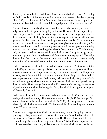that every act of rebellion and disobedience be punished with death. According to God's standard of justice, the entire human race deserves the death penalty (Rom 3:23). It is because of God's holy and just nature that He must uphold and execute this law. What would you think of a judge who did not uphold the law?

Parents, if your virgin daughter was brutally raped what would you think of a judge who failed to punish the guilty offender? He would be an unjust judge. Now suppose as the courtroom rises expecting to hear the judge pronounce a death sentence, or life in prison on the guilty rapist, but instead all who are gathered in the courtroom hear the judge say these words: "I've done some research on you and I've discovered that you have given much to charity, you've also invested much time in community service, and I can tell you are a praying man by how you've been handling those beads. Very impressive! This is a tough call, but your good works outweigh your bad works. I'm going to grant you mercy and pardon. You are released and free to enter society again." The judge then strikes the gavel as the entire courtroom stands in shock. Was it really mercy this judge extended to the guilty, or was it the gravest of injustices?

Such a scenario is unheard of in today's court system. Whether or not the criminal's good works outweigh his bad does not sway the guilty verdict. If such a system does not hold up in an earthly courtroom, would it hold up in a heavenly one? Do you think that a man's sense of justice is greater than God's? Yet people seem to think that God's mercy will automatically forgive man's sin and allow all guilty sinners entrance into heaven. Such an unscriptural mercy does not exist. How strange that man should possess such a strong, innate sense of justice while somehow believing that God, the faithful and righteous judge of all the earth, does not!

God cannot disregard His own laws. When it comes to sin God can never set aside justice to show mercy. The soul that sins must die (Ez 18:20), and yet God has no pleasure in the death of the wicked (Ez 33:11). So the question is: Is there a basis by which God can maintain His justice while still extending mercy to the sinner? That is the issue.

Anyone who suggests that God can show mercy while foregoing justice is ignoring His holy nature and His law of sin and death. What kind of faith could we have in a Creator who ignores the laws He Himself has established thus contradicting His own holy and righteous character? What kind of hope and trust could we exercise toward a god like that who is whimsical, unpredictable, and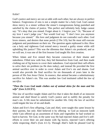#### fickle?

God's justice and mercy are not at odds with each other, but are always in perfect balance. Forgiveness of sins is not a simple matter for a holy God. God cannot show mercy to a sinner without the sinner's transgressions being punished and satisfied by the claims of justice. This perfect and infinitely holy Judge cannot say: "It's okay that you sinned. Forget about it. I forgive you." Or, "Because of my love I won't judge you." Nor would God say: "I don't love you anymore because you sinned." His love and judgment do not contradict each other. God loves sinners, and desires that none perish (2 Pet 3:9), but He must still execute judgment and punishment on their sin. The question again rephrased is this: How can a holy and righteous God extend mercy toward a guilty sinner while still upholding His justice? This was the dilemma that Adam's sin produced, and as we will see, it was one of the first lessons God taught His first creation.

When Adam and Eve sinned they became conscious of their shame and nakedness. Filled now with fear, they hid themselves from God, and then made clothing out of fig leaves to cover their nakedness. God rejected their self-efforts to solve their sin problem (as He does today), and instead He provided the first animal sacrifice ever in order to cover Adam and Eve's sin and shame. God would also provide the final sacrifice for sin thousands of years later in the person of His Son Jesus Christ. In essence, that animal became a substitutionary sacrifice for Adam's sin. This was another law God instituted called the *law of sacrifice*.

#### *"Then the LORD God made clothes out of animal skins for the man and his wife" (Gen 3:21CEV).*

This law of sacrifice taught Adam and Eve that it takes the death of an innocent animal and shed blood to satisfy God's justice and to nullify the penalty for man's sin. A life must be substituted for another life. Only the law of sacrifice could negate the law of sin and death.

Adam and Eve's first offspring, Cain and Abel, were taught this same lesson by their parents, but only Abel believed it by offering to God an innocent lamb while Cain offered up an assortment of fruits and vegetables he had worked so hard to harvest. Yet God, in the same way He had rejected Adam and Eve's selfefforts to cover their sin and shame with fig leaves, rejected Cain's offering while respecting Abel's (Gen 4:1-5). Through Abel's faith he pleased God by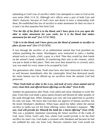submitting to God's law of sacrifice while Cain attempted to come to God on his own terms (Heb 11:4, 6). Although sin's effects were a part of both Cain and Abel's character, because of God's love and desire to have a relationship with them, He established this law of sacrifice to make atonement for their sin since it is man's sin that separates him from God.

#### *"For the life of the flesh is in the blood, and I have given it to you upon the altar to make atonement for your souls; for it is the blood that makes atonement for the soul" (Lev 17:11 NKJ).*

#### *"Life is in the blood, and I have given you the blood of animals to sacrifice in place of your own" (Lev 17:11 CEV).*

It was through the sacrifice of an unblemished animal that God punished sin without punishing the sinner. Worshippers were instructed to select a healthy animal such as a lamb, a bull, a goat, or a bird. Then they would lay their hands on the animal's head, symbolic of transferring their sins to the creature, which was put to death in their place. Their sins were then atoned for or covered, and a way was made for every sinner to be accepted by God.

Ten generations after Adam, Noah must have also been instructed in these laws as well because immediately after the catastrophic flood that destroyed nearly the entire human race he offered up sin sacrifices from the animals God had preserved.

#### *"Then Noah built an altar to the LORD, and took of every clean animal and of every clean bird, and offered burnt offerings on the altar" (Gen 8:20).*

Another ten generations after Noah, God called and chose Abraham to work His plan. From him God made a great nation (Israel) and blessed all other peoples of the earth through him. When Abraham was very old God asked him to sacrifice his only son Isaac. We know that God does not approve of human sacrifice, but He tested Abraham's obedience. When Isaac asked his father where the animal sacrifice (a lamb) was for the burnt offering, notice Abraham's response: *"My son, God will provide for Himself the lamb for a burnt offering" (Gen 22:8).* This was a prophetic statement concerning the future sacrifice of the Lamb of God, Jesus Christ, God's only Son, whom God would provide to be the final sacrifice for man's sin. God made a covenant with Abraham and because he had not withheld his only son from God, likewise centuries later God would not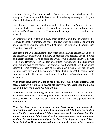withhold His only Son from mankind. So we see that both Abraham and his young son Isaac understood the law of sacrifice as being necessary to nullify the effects of the law of sin and death.

Since the entire nation of Israel was guilty of breaking God's laws, God also commanded Moses, generations after Abraham, to make an altar and offer burnt offerings (Ex 20:24). In the Old Testament all worship centered around an altar of sacrifice.

So beginning with Adam and Eve, their children, and the generations that followed to Noah, Abraham, and Moses the law of sin and death along with the law of sacrifice was understood by all of Israel and perpetuated through each generation even after Moses.

Throughout the Old Testament the law of sin and death was continually in effect and continually nullified when the law of sacrifice was applied. The shed blood of innocent animals was to appease the wrath of God against sinners. This was God's plan. However, when this law of sacrifice was not applied plagues would break out and destroy the people. For example, in 2 Samuel 24 David had sinned against the Lord by taking a census of the nation. As a result, the wrath of God was unleashed throughout the nation in a plague that killed 70,000 people. Word came to David to offer up sacrificial animal blood offerings so the plague could be stopped.

#### *"And David built there an altar to the LORD, and offered burnt offerings and peace offerings. So the LORD heeded the prayers for the land, and the plague was withdrawn from Israel" (2 Sam 24:25).*

In Numbers 16 the same thing happened. After the rebellion of Korah when the ground opened up and swallowed people alive, the children of Israel complained against Moses and Aaron accusing them of killing the Lord's people. Notice what followed.

*"And the LORD spoke to Moses, saying, "Get away from among this congregation, that I may consume them in a moment." And they fell on their faces. So Moses said to Aaron, "Take a censer and put fire in it from the altar, put incense on it, and take it quickly to the congregation and make atonement for them; for wrath has gone out from the LORD. The plague has begun." Then Aaron took it as Moses commanded, and ran into the midst of the assembly;*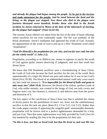*and already the plague had begun among the people. So he put in the incense and made atonement for the people. And he stood between the dead and the living; so the plague was stopped. Now those who died in the plague were fourteen thousand seven hundred, besides those who died in the Korah incident. So Aaron returned to Moses at the door of the tabernacle of meeting, for the plague had stopped" (Num 16:44-50).*

The incense Aaron offered was taken from the fire of the altar of burnt offerings where sacrifices for sin were continually made. The fire was symbolic of the blood atonement. Aaron's mediation had appeased the wrath of God. Actually, the appeasement of the wrath of God is tied up in a New Testament word called "propitiation".

#### *"And He Himself is the propitiation for our sins, and not for ours only but also for the whole world" (1 John 2:2).*

Propitiation, according to its Biblical use, means to appease or pacify the wrath of God against guilty sinners deserving of judgment, and turn that wrath into divine favor.

We know that Old Testament sacrifices were a foreshadowing of Jesus Christ, the Lamb of God who became the final sacrifice for the sins of the world. Born supernaturally of a virgin His blood was pure and sinless for it was in fact God's blood (Acts 20:28). The blood of an unblemished animal could only cover man's sin, but could not remove it. *"It is impossible for the blood of bulls and goats to take away sins" (Heb 10:4).* However, the blood of the sinless, spotless Lamb of God, who unlike animals, was created in the image of God, not only covers and forgives man's sin, but cleanses it, removes it, and delivers man from the power and dominion of it.

The key aspect of the crucifixion of Jesus Christ was that it satisfied the claims of divine justice for the punishment of man's sin. Jesus was the substitutionary sacrifice in that He took our place (Rom 8:3, 2 Cor 5:21, Gal 3:13). Rather than the crude pagan concept of appeasing the vengeful gods' unreasonable demands, propitiation will be forever tied to a perfect righteousness demanded by a holy and just God. Then that same righteousness was fully provided by God's love for lost mankind by sending His Son to be the propitiation for their sins.

#### *"In this is love, not that we loved God, but that He loved us and sent His Son*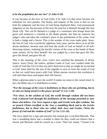#### *to be the propitiation for our sins" (1 John 4:10).*

It was because of the love of God (John 3:16, Eph 5:2) that Jesus became our substitute for sin's penalty. The beauty and majesty of the cross is that we see both the judgment and the love of God being displayed there. God pronounced judgment on sin, but because of His love He paid for it Himself through His Son (Rom 5:8). This can be likened to a judge in a courtroom who brings down the gavel and sentences a criminal to the death penalty, but then he removes his judge's robe and takes the criminal's place in the punishment of his crime. God is both a Judge and a Savior. This is the wonder of the cross made plain. Jesus, the Son of God, who is perfectly righteous, holy, pure, and far above us in all His divine attributes, became man and bore the wrath of God on behalf of all helldeserving sinners, enduring the horrific torture of the cross at the hands of those same sinners, all for their benefit! Sin was judged by a love that gave His life, gave His blood, and gave His all.

This is the meaning of the cross. God's love satisfied the demands of divine justice. Jesus Christ, the sinless, spotless Lamb of God, was crushed under the wrath of God (Isa 53:4-5) that you and I deserved so that we might be reconciled to God. Jesus died for the sins of the ungodly to save us from the wrath of God so that we could have peace with God. When anyone receives this revelation it will melt their heart and impact their life forever.

What a glorious plan to save the world! It makes no sense to the carnal mind. In fact, the Bible says it is foolishness to some:

#### *"For the message of the cross is foolishness to those who are perishing, but to us who are being saved it is the power of God" (1 Cor 1:18).*

*"For since, in the wisdom of God, the world through wisdom did not know God, it pleased God through the foolishness of the message preached to save those who believe. For Jews request a sign, and Greeks seek after wisdom; but we preach Christ crucified, to the Jews a stumbling block and to the Greeks foolishness, but to those who are called, both Jews and Greeks, Christ the power of God and the wisdom of God" (1 Cor 1:21-24).*

The Jews asked for a sign and miracles but instead got a crucified Messiah. This was a stumbling block and a scandal to them for they could not believe that a Savior and Messiah could be cursed on a cross. Their law stated, "Cursed is he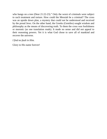who hangs on a tree (Deut 21:22-23)." Only the worst of criminals were subject to such treatment and torture. How could the Messiah be a criminal? The cross was an upside down plan, a mystery that could not be understood and received by the proud Jews. On the other hand, the Greeks (Gentiles) sought wisdom and philosophy as the means of discovering truth. To them the cross was foolishness or moronic (as one translation reads). It made no sense and did not appeal to their reasoning powers. Yet it is what God chose to save all of mankind and recover the universe.

*I find no fault in Him.*

Glory to His name forever!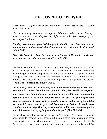# **THE GOSPEL OF POWER**

*"Jesus power – super, super power! Satan power – powerless power!"* – Words to an African song

*"Maximum damage is done to the kingdom of darkness and maximum blessing is done to advance the kingdom of light when miracles accompany it's messengers."* – Author

*"So they went out and preached that people should repent. And they cast out many demons, and anointed with oil many who were sick, and healed them" (Mk 6:12-13).*

*"Then He began to rebuke the cities in which most of His mighty works had been done, because they did not repent" (Mat 11:20).*

The demonstration of God's power in signs, wonders, and miracles is a major part of the gospel and actually sets the tone for the demands of Christ. You really have no right to demand repentance without demonstrating the power of God. Taking up the cross seems like an unreasonable demand except following a miracle. Jesus rebuked the cities pronouncing woes on the people who did not repent after witnessing His mighty works.

*"Woe to you, Chorazin! Woe to you, Bethsaida! For if the mighty works which were done in you had been done in Tyre and Sidon, they would have repented long ago in sackcloth and ashes. But I say to you, it will be more tolerable for Tyre and Sidon in the day of judgment than for you. And you, Capernaum, who are exalted to heaven, will be brought down to Hades; for if the mighty works which were done in you had been done in Sodom, it would have remained until this day. But I say to you that it shall be more tolerable for the land of Sodom in the day of judgment than for you" (Mat 11:21-24).*

In the above scripture Jesus infers that mighty works give people a greater opportunity to respond to the gospel, but also a greater condemnation on those who reject Him. To whom much is given much is required (Lk 12:48). According to Jesus, even Sodom and Gomorrah, that wicked city, would've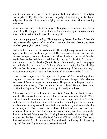repented and not been burned to the ground had they witnessed His mighty works (Mat 10:15). Therefore they will be judged less severely in the day of judgment than the cities where mighty works were done without ensuing repentance.

When Jesus sent out His disciples He gave them power over demons and disease (Mat 10:1). He equipped them with an ability and authority to demonstrate the power of God. Without it the gospel is incomplete.

#### *"And as you go, preach, saying, 'The kingdom of heaven is at hand.' Heal the sick, cleanse the lepers, raise the dead, cast out demons. Freely you have received, freely give" (Mat 10:7-8).*

Notice in this context that Jesus did not tell His disciples to *pray* for the sick, the lepers, the dead, and the demon possessed. He commanded them to *heal* the sick, cleanse the lepers, resurrect the dead, and deliver the demon possessed. In other words, Jesus authorized them to heal the sick, not pray for the sick. Of course, it is scriptural to pray for the sick (Jam 5:14), but it's interesting that in the gospels and in the book of Acts we don't find one reference to praying for the sick. This tells me that these early apostles had an understanding of the authority they'd been given in a way that much of the Church and its ministers today do not.

It was Jesus' purpose that the supernatural power of God would signal the kingdom of heaven's arrival. His purpose has not changed. We who are followers of Jesus can expect to do the same. The power is in the proclamation. He commands us to say, "The kingdom of heaven is here!" He authorizes you to confirm it with power. God will back you up. Act and you will see.

A few years ago I traveled to an interior city in Sierra Leone, West Africa to minister. Upon arrival my hosts escorted me to go see some city officials. When I stepped into the female mayor's office I was met by approximately 20 of her staff. I asked the Lord what kind of introduction I should give. He told me to proclaim that the kingdom of heaven had come to their city and to heal the sick in the mayor's office. I asked for a show of hands of who was sick, and instructed them to put their hands on their own bodies, and then commanded them to be healed. Several testified of being instantly healed either through pain leaving their bodies or being alleviated from an afflicted condition. The mayor then told me that I could do anything I wanted to do in the city, that it was my city, and they would give me any assistance I needed.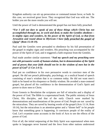Kingdom authority can stir up persecution or command instant favor, or both. In this case, we received great favor. They recognized that God was with me. The bolder you are the more results you will see.

Until the power of God is demonstrated the gospel has not been fully preached.

*"For I will not dare to speak of any of those things which Christ has not accomplished through me, in word and deed, to make the Gentiles obedient in mighty signs and wonders, by the power of the Spirit of God, so that from Jerusalem and round about to Illyricum I have fully preached the gospel of Christ" (Rom 15:18-19).*

Paul said the Gentiles were persuaded to obedience by his full presentation of the gospel in mighty signs and wonders. His preaching was accompanied by the power of the Spirit of God, and it triggered a faith response from the Gentiles.

Paul made another similar statement: *"And my speech and my preaching were not with persuasive words of humanwisdom, but in demonstration of the Spirit and of power, that your faith should not be in the wisdom of men but in the power of God" (1 Cor 2:4-5).*

Paul put no confidence in his own persuasive words to convince men of the gospel. He did not preach philosophy, psychology, or a soulical brand of speech consisting of man's wisdom that is so common today. He did not want men's faith to be based on his eloquence or fleshly wisdom. He avoided a man-centered gospel, but placed all his confidence in the demonstration of God's Spirit and power to draw men to Christ.

From Genesis to Revelation the scriptures are full of miracles and a display of the power of God. The Bible is a supernatural book. The public ministry of Jesus Christ, His disciples, and that of the early Church were marked by demonstrations and manifestations of the power of God. People are not saved by the miraculous. They are saved by hearing words of the gospel (Acts 11:14, Rom 10:14), but the miraculous is an attention-getter and a "dinner bell" to let people know that something great is happening. It convinces people of the reality of God. Let's examine some accounts in the book of Acts to see the effects of the power of God.

First of all, the initial outpouring of the Holy Spirit was supernatural when men spoke in languages never learned and the Jews from other nations understood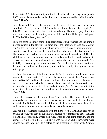them (Acts 2). This was a unique miracle. Results: After hearing Peter preach, 3,000 new souls were added to the church and others were added daily thereafter (Acts 2:41, 47).

Next, Peter and John, by the authority of the name of Jesus, heal a man lame from birth (Acts 3). Results: 5,000 men believed after hearing the gospel (Acts 4:4). Of course, persecution broke out immediately. The church prayed and the place of assembly shook, and they were all filled with the Holy Spirit and spoke the Word of God boldly (Acts 4:31).

Then, we come to a most compelling account regarding Ananias and Sapphira, a married couple in the church who came under the judgment of God and died for lying to the Holy Spirit. This is what has been referred to as a judgment miracle. Results: Great fear came on the church and all who heard of it (Acts 5:5, 11). The apostles then performed many more signs and wonders (Acts 5:12). Results: Multitudes of men and women were increasingly added to the Lord, and came to Jerusalem from the surrounding cities bringing the sick and tormented (Acts 5:14-16). Of course, persecution followed. The devil hates the manifestation of the power of God and will vigorously oppose it because by it people are drawn to the gospel.

Stephen who was full of faith and power began to do great wonders and signs among the people (Acts 6:8). Results: Persecution  $-$  what else? Stephen was martyred (Acts 7) and the subsequent result was that Saul, whom Stephen prayed forgiveness for, and who later became Paul, was gloriously converted and became the greatest apostle of the early Church (Acts 9). As a result of the persecution, the church was scattered and went everywhere preaching the Word (Acts 8:3-4).

Philip also moved in the miraculous. The results: The people heard him attentively, and an entire city was impacted by the gospel and filled with great joy (Acts 8:5-8). By the way, both Philip and Stephen were not original apostles, for those who believe miracles passed away with the apostles.

Saul had a life-changing encounter with the Lord (Acts 9). Ananias, also not an original apostle, was sent by supernatural revelation to minister to Saul (the Lord told Ananias specifically where Saul was, what he was going through, and the purpose of God for his life). Results: All who heard of Saul's conversion were amazed because they knew him before as the greatest persecutor of the Church.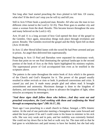Not long after Saul started preaching the Jews plotted to kill him. Of course, what else? If the devil can't stop you he will try and kill you.

Still in Acts 9 Peter heals a paralyzed man. Results: All who saw the man in two different cities turned to the Lord (v 32-35). Then Peter goes to another city and raises a woman from the dead. Results: This became known throughout the area and many believed on the Lord  $(v 42)$ .

Acts 10 and 11 is a long account of how God opened the door of the gospel to the Gentiles. Once again, miraculous things took place through revelation and power. Results: The Gentiles received the gospel and the Holy Spirit fell on them (Acts 10:44-46).

In Acts 12 after Herod killed James with the sword He had Peter arrested and put in prison. An angel then delivered him supernaturally.

Beginning in Acts 13 Paul and Barnabas were separated for missionary work. From that point on we see Paul dominating the spiritual landscape in the second portion of the book of Acts as the Holy Spirit highlighted his ministry exploits. The supernatural power of God accompanied him even as he testified in the scriptures above.

The pattern is the same throughout the entire book of Acts which is the genesis of the Church and God's blueprint for it. The power of the gospel usually resulted in either revivals or riots or both. It produced conversions and crisis. It caused joy and jeer. It made many people glad and others mad. It brought astonishment and animosity. Maximum damage is done to the kingdom of darkness, and maximum blessing is done to advance the kingdom of light, when miracles accompany its messengers.

#### *"And these signs shall follow those who believe…And they went out and preached everywhere, the Lord working with them and confirming the Word through accompanying signs" (Mk 16:17, 20).*

Years ago I was preaching in a small church in Dakar, Senegal, a 90% Islamic nation. At the end of one particular meeting a Senegalese man came forward and asked the local pastor if he and I could come to his house to minister to his sick wife. She was very weak and in pain, and her mobility was extremely limited. She could not lay down flat in her bed or walk very far. The man told us that he had gone to witchdoctors and paid money to have her healed, but she had only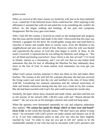gotten worse.

When we arrived at this man's house we found his wife just as he had explained to us. I asked her if she believed Jesus Christ could heal her. After replying in the affirmative I anointed her with oil and asked her to do something she couldn't do before. As she began walking and bending, all her pain and symptoms disappeared. But the story gets even better.

After I had left the country I received an email on the background and progress that this man and his family had made in the faith. I discovered that this man was formerly a gangster for the devil. He would gather young men and send them to churches to harass and trouble them in various ways. Even the Muslims in his neighborhood and area were afraid of him. However, when his wife was healed and experienced the power of God this man began to testify of Jesus. In the email I received, it reported that he was telling the Muslims such things as: *"You are all blind and fooling yourselves! Jesus Christ is the Son of God!"* I've lived in Islamic nations as a missionary, and I can tell you that no one makes bold statements like that for fear of offending the Muslims for they adamantly deny Jesus as the Son of God. In some nations such statements can even get you killed.

When God's power touches someone it often sets them on fire and makes them fearless. The woman at the well left her waterpot (because she had just received the living water) and went into the city and testified to the men of Jesus (John 4:28-30). Considering her immoral reputation and the cultural restrictions of male and female interaction during that day this was a bold act by this woman. But she had been touched with God's fire and could not keep her mouth shut.

Similarly, the leper whom Jesus cleansed and made whole, and then told him not to tell anyone of his miracle (Mk 1:40-45) went wild and *"blazed abroad the matter"*. He, too was set on fire through a miracle and could not keep quiet.

When the apostles were threatened repeatedly by city and religious authorities they replied, *"We cannot but speak the things which we have seen and heard" (Acts 4:20).* In the Greek this literally means: "We don't have any ability to keep silent." An encounter with God's power can make zealots and fanatics out of all of us. A raw holy enthusiasm seems to take over one who has been mightily touched by God. "In order to stop me you got to kill me" seems to be the unshakeable attitude of one who has had an encounter with God's presence and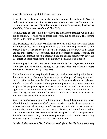power that swallows up all inhibitions and fears.

When the fire of God burned in the prophet Jeremiah he exclaimed: *"Then I said, I will not make mention of Him, nor speak anymore in His name. But His word was in my heart like a burning fire shut up in my bones; I was weary of holding it back, and I could not" (Jer 20:9).*

Jeremiah tried to keep quiet but couldn't. He tried *not* to mention God's name, but he couldn't. He tried *not* to preach His Word, but he couldn't. The burning fire of God in him was too great.

This Senegalese man's transformation was evident to all who knew him before in his former life. Just as the apostle Paul, the faith he once persecuted he now preached. It was also reported to me that he started a Bible study in his house and his entire family was converted. This is the purpose of signs, wonders, and miracles. One miracle can set a person on fire and change him forever, but it can also affect an entire neighborhood, community, a city, and even a nation.

#### *"For our gospel did not come to you in word only, but also in power, and in the Holy Spirit and in much assurance, as you know what kind of men we were among you for your sake" (1 Thes 1:5).*

Today there are many skeptics, doubters, and mockers concerning miracles and the power of God. There are those who say miracles passed away in the first century with the last apostle. Then there are those that slander and demean miracle workers who operate in the supernatural power of God. Satan uses some people as his puppets to spew forth such criticism because he fears miracles, signs, and wonders because they testify of Jesus Christ, reveal the Father God (John 10:25), and set souls on fire with the final result being that others are drawn to Jesus and to His great salvation.

Satan has hoodwinked many churches today and cheated them out of the power of God through their own unbelief. These powerless churches have ceased to be a threat to Satan. If an army of soldiers go to battle without weaponry and artillery they are not a threat to the enemy. Likewise, it is with these churches. After the resurrection Jesus commanded His disciples to wait for the promise of the Holy Spirit so that they could receive power (Acts 1:8). In other words, they were not to go and attempt to do God's work without it.

*"As the Father has sent Me, I also send you" (John 20:21).* In the same way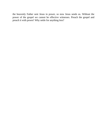the heavenly Father sent Jesus in power, so now Jesus sends us. Without the power of the gospel we cannot be effective witnesses. Preach the gospel and preach it with power! Why settle for anything less?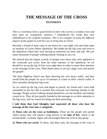# **THE MESSAGE OF THE CROSS TESTIMONY**

*This is a testimony from a good friend of mine who carries a wooden cross and does open air evangelistic ministry. I emboldened the words that were emboldened in his original testimony. This is an example of using the different aspects of the gospel as well the Law to bring men to Christ.*

Recently a friend of mine came to our home for a one night visit and some open air ministry at Lowes Motor Speedway. We loaded up the big cross and went to the Speedway where they were having an enormous car show and sale. We saw many thousands of people walking around, looking at cars, etc.

We noticed that the largest crowds of people were those who were gathered at the crosswalk just across from the main entrance to the Speedway. So we decided to set up the big 10 foot cross right there in order to arrest their attention to the message of the cross. What better place to set up a huge cross and preach the gospel!

The State Highway Patrol was there directing the very heavy traffic, and they would hold the people for up to 10 minutes at a time to allow vehicle traffic to flow smoothly during this big event.

As we raised up the big cross and began to preach, my friend and I were both astonished at the fact that it seemed that everyone was listening intently to the message. People weren't talking among themselves, no one heckled, and nobody cursed at us. They all just quietly listened to the message as we drew attention to the big cross, and our reason for being out there preaching.

#### **I told them that God Almighty had separated all those who hear the message of the cross into 2 categories:**

**1) Those who see the cross as foolishness.** These are the people who perish which means they will spend a long forever in the **lake of fire**, which is the second death. I warned, urged, and encouraged them not to be in that group.

**2) Those who are saved.** To these, and these only, the message of the cross is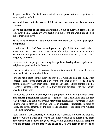the power of God! This is the only attitude and response to the message that can be acceptable to God.

#### **We told them that the cross of Christ was necessary for two primary reasons:**

**1) We are all part of the ultimate statistic: 10 out of every 10 people die!** In fact, in the next 24 hours 146,000 people will die around the world. No one gets out of this world alive.

#### **2) We have all broken God's Law, which the Bible says is holy, just, good, and perfect.**

I told them that God **has an obligation** to uphold His Law and make it honorable. That *"…He can in no wise clear the guilty".* He cannot set aside the execution of the penalty for breaking His Law in showing mercy to those who are guilty of breaking it.

I reasoned with the people concerning their **guilt for having sinned** against such a righteous, good, and holy Creator.

I reasoned with them that everyone knows it is wrong to lie especially when someone lies to them or about them.

I tried to make them see that everyone knows it is wrong to steal especially when someone steals from them! And everyone understands how wrong it is to commit adultery when their spouse does it! But Jesus Christ pointed out that whenever someone looks with lust, they commit adultery with that person already in their heart!

I expounded briefly of **God's righteous judgment** in threatening **eternal wrath and endless punishment** against His enemies. Then I explained that the **only way** in which God could **wisely** and **justly** offer pardon and forgiveness to guilty sinners was to offer up His own Son as an **innocent substitute**, in order to satisfy the awful demands of the justice and vengeance due those who violated God's just commands.

I told them that **the sufferings of Christ** make it possible and **wise** and **just** and **good** for God to pardon and forgive the sinner, whenever he **turns away from his own way and believes the good news**, yielding himself in full and **complete love** and **obedience** to the **mercy** and **grace of God** with **faith in the blood of**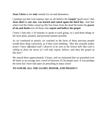**Jesus Christ** as the **only** remedy for sin and damnation.

I pointed out that God requires that we all believe the **Gospel** "good news" that **Jesus died** for **our sins**, **was buried and raised again the third day**. And that when God the Father raised up His Son Jesus from the dead He broke the **power of sin and death** over all those who **repent and believe the gospel**.

I knew I had only 5-10 minutes to speak to each group, so I said these things in the most plain, pointed, and personal manner possible.

As we continued to preach, we watched as the faces of these precious people would show deep conviction, as if they were thinking, *"Hey this actually makes sense! I have offended God! I deserve to be sent to the lowest hell! But God is willing to show me mercy if I will only repent, believe, and obey the gospel of His Son!"*

We stayed there approximately 5 hours, and we estimated that we preached over 40 times to an average new crowd of between 25-50 people each. It was perhaps the most fun I have had open air preaching in many years!

#### **TO GOD BE ALL THE GLORY, HONOR, AND PRAISE!!!**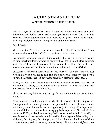# **A CHRISTMAS LETTER**

#### **A PRESENTATION OF THE GOSPEL**

*This is a copy of a Christmas letter I wrote and mailed out years ago to 60 individuals and families who lived in our apartment complex. This is another example of including the various components of the gospel in our preaching and testimony. Feel free to use all or any portion of it to reach souls.*

Dear Friends,

Merry Christmas!!! Let us remember to keep the "Christ" in Christmas. There are many who would like to "X" the Christ and celebrate X-mas.

Listen to this statement: Christ is the greatest central fact in the world's history. To him everything looks forward or backward. All the lines of history converge upon Him. All the great purposes of God culminate in Him. The greatest and most momentous fact that the history of the world records is Christ's birth.

Christmas is celebrated because of this one verse of Scripture: *"She will give birth to a Son and you are to give Him the name Jesus [short for "the Lord is salvation"], because He will save His people from their sins" (Mat 1:21).*

Friend, sin is the great problem of the human race and the Scriptures teach us that hell is the penalty for sin. But salvation is more than an exit visa to heaven; it is freedom from sin now in this life.

Christmas has very little meaning or significance without this transformation in our hearts.

Please allow me to tell you my story: My old life was one of pain and pleasure. Some pain and then some pleasure; more pain and then more pleasure. I found out that my sinful life really had no happiness; just fighting off unhappiness. I was a social drinker, a womanizer (being gay is the equivalent; God calls it sin – Leviticus 18:22), a blasphemer (using God's name in vain), full of lust (if you even fantasize of a sexual relationship outside of marriage the Bible calls you an adulterer), full of greed, full of anger, and full of bitterness. I fell short of God's commandments, and so has every human being. *"There is none righteous, no,*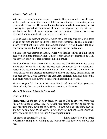*not one…" (Rom 3:10).*

Yet I was a semi-regular church goer, prayed to God, and counted myself a part of the good citizens of this country. Like so many today I was trusting in my good works to save me. **If you are hoping for good works to save you, you are trusting in a parachute that is full of holes.** On judgment day you will crash and burn. We have all sinned against God our Creator. If any of us are not convinced of that, then it will take hell to convince us.

Death is as sure as taxes, if not surer. In this life is the only chance we will get to let go of our sins and turn to Christ. That is true repentance. To an old soldier it means, "Attention! Halt! About turn…quick march!" **If you haven't let go of your sins, you are holding onto a grenade with the pin pulled out.**

If Satan sees your interest in Christ, I warn you that he will try and kill you to keep you from this great salvation. If he sees that you're not interested he'll kill you anyway, and you'll spend eternity in hell. Forever.

The Good News is that Christ died on the cross and shed His Holy Blood to pay the penalty for our sins and then He rose again triumphant (Besides Christmas, Easter is the second most celebrated holiday – think about that). On the cross of Jesus Christ was the greatest demonstration of love and mercy that mankind has ever been shown. It was there that the Lord Jesus suffered, bled, and died so that man could receive the power of a transformed heart and a new life.

What must you do? Turn to Christ now, friend and be saved from your sins. Then and only then can you know the true meaning of Christmas.

Merry Christmas or Miserable Christmas?

Which will it be?

**Instructions:** *Right now, in your heart, cry out to God to save you from your sins by the Blood of Jesus. Right now, with your mouth, ask Him to deliver you from the snare of the devil and to make you His own. Give up your sinful self-will and turn back to God. Die to your own will and your own life. Jesus Christ will deliver you and give you a new life. Put your faith in Him.*

For prayer or counsel please call For prayer or counsel please call  $\qquad \qquad$  . Let us know if you've turned to Christ by calling us or writing to us. Remember, God loves you and we love you.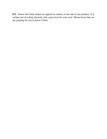**P.S.** Notice this letter makes no appeal for money or the sale of any product. It is written out of a deep sincerity and a pure love for your soul. Please know that we are praying for you to know Christ.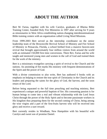### **ABOUT THE AUTHOR**

Bert M. Farias, together with his wife Carolyn, graduates of Rhema Bible Training Center, founded Holy Fire Ministries in 1997 after serving for 9 years as missionaries in West Africa establishing nation-changing interdenominational Bible training centers with an organization called Living Word Missions.

From 1999-2003 Bert served as the internship coordinator on the senior leadership team of the Brownsville Revival School of Ministry and Fire School of Ministry in Pensacola, Florida, a school birthed from a massive heaven-sent revival that brought approximately four million visitors from around the world with an estimated 150,000 first time conversions. There Rev. Farias and his wife taught and mentored young men and women in the call of God and trained them for the work of the ministry.

Bert is a missionary evangelist carrying a spirit of revival to the Church and the nations. An anointing of fire marks His ministry with frequent demonstrations of the Spirit and the power of God.

With a divine commission to also write, Bert has authored 6 books with an emphasis on helping to restore the true spirit of Christianity in the Church and its leaders and preparing the saints for the glory of God, the harvest, and the soon return of the Lord.

Before being separated to the full time preaching and teaching ministry, Bert experienced a unique and powerful baptism of fire. His consuming passion is for human beings to come into a real and vibrant relationship with the Lord Jesus Christ through the power of the Holy Spirit and to become passionate workers in His kingdom thus preparing them for the second coming of Christ, being among the wise virgins and a part of the first-fruits harvest who will be received into glory and receive a sure reward.

Bert currently resides in Windham, New Hampshire with his beautiful wife Carolyn and sweet son of promise Daniel.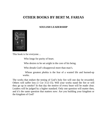### **OTHER BOOKS BY BERT M. FARIAS**

#### **SOULISH LEADERSHIP**



This book is for everyone…

Who longs for purity of heart.

Who desires to be set aright in the core of his being.

Who dreads God's disapproval more than man's.

Whose greatest phobia is the fear of a wasted life and burned-up works.

The works that endure the testing of God's holy fire will one day be rewarded. Others will suffer loss (1 Cor 3:12-15). Will your works stand the fire or will they go up in smoke? In that day the motive of every heart will be made clear. Leaders will be judged by a higher standard. Only one question will matter then, and it's the same question that matters now: Are you building your kingdom or the kingdom of God?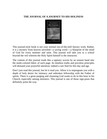#### **THE JOURNAL OF A JOURNEY TO HIS HOLINESS**



This journal-style book is not your normal run-of-the-mill literary work. Rather, it is a mystery from heaven unveiled---a saving word----a blueprint of the mind of God for every minister and saint. This journal will take you to a school beyond the veil wherein the Holy Spirit himself is the instructor.

The content of this journal reads like a tapestry woven by an unseen hand into the multi-colored fabric of each page. Its timeless truths and priceless principles will demand your prayerful attention; indeed a rare find for this day and age.

Don't just read this journal, but let it read you. Allow it to impregnate you with a depth of holy desire for intimacy and unbroken fellowship with the Father of spirits. There is a great purging and cleansing God wants to do in this hour in his Church, especially among ministers. This journal is one of those sign-posts that definitely point the way.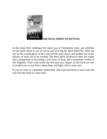

#### **THE REAL SPIRIT OF REVIVAL**

In this book, Bert challenges the status quo of Christianity today and redefines its true spirit which is one of revival and of living the Spirit filled life. With one eye on the coming glory of the Lord and His soon return, and another eye on the harvest of souls yet to be reached, *The Real Spirit Of Revival* takes the reader into a preparation to becoming a true lover of Jesus and a passionate worker in His kingdom. These vital truths that dot each new chapter of this book are sure to awaken you as one from a deep sleep, and light a fire in your soul.

If you are tired of a mundane relationship with God and desire to burn with His holy fire this book is a must read.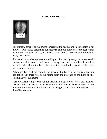#### **PURITY OF HEART**



The primary basis of all judgment concerning the deeds done in our bodies is our motives. Our values determine our motives, and our motives are the real reason behind our thoughts, words, and deeds. Only God can see the true motives of every man's heart.

Almost all human beings have something to hide. Nearly everyone twists words, events, and situations to their own advantage, to place themselves in the best possible light. Men often have ulterior motives and hidden agendas. This is sin and a form of hiding.

Adam and Eve first hid from the presence of the Lord in the garden after they had fallen. But there will be no hiding from the presence of the Lord on that solemn Day of Judgment.

Purity of Heart will prepare you for that day and spare you loss at the judgment seat of Christ so that you may receive your full reward. What is done in pure love, by the leading of the Spirit, and for the glory and honor of God shall reap the fullest rewards.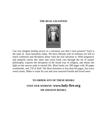#### **THE REAL SALVATION**



Can you imagine feeling secure in a salvation you don't even possess? Such is the state of mass humanity today. We have libraries full of sermons yet still so much confusion and deception about what the real salvation is. With poignancy and pinpoint clarity this short and sweet book cuts through the fat of satanic philosophy, exposes the deception of the broad way of religion, and shines the light on the narrow path to eternal life. Most books are 200 pages with 30 pages worthwhile, and 170 of fluff. *The Real Salvation* is less than 60 pages, but every word counts. Make it count for you and your unsaved friends and loved ones!

#### **TO ORDER ANY OF THESE BOOKS**

#### **VISIT OUR WEBSITE: www.holy-fire.org OR AMAZON BOOKS.**